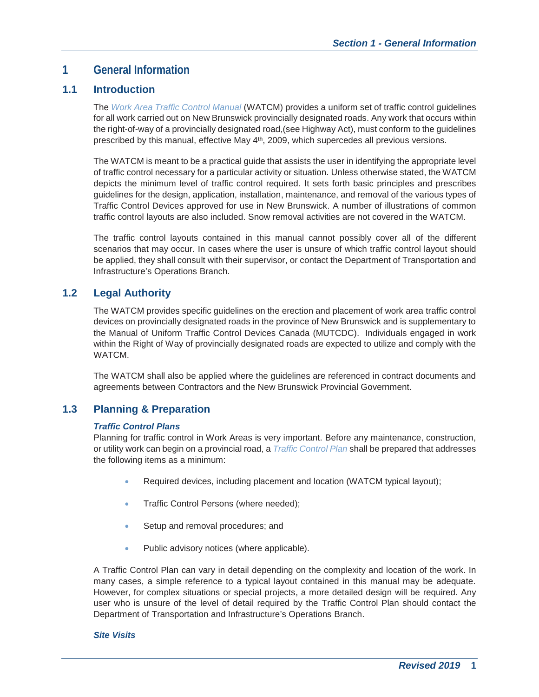# **1 General Information**

## **1.1 Introduction**

The *Work Area Traffic Control Manual* (WATCM) provides a uniform set of traffic control guidelines for all work carried out on New Brunswick provincially designated roads. Any work that occurs within the right-of-way of a provincially designated road,(see Highway Act), must conform to the guidelines prescribed by this manual, effective May 4<sup>th</sup>, 2009, which supercedes all previous versions.

The WATCM is meant to be a practical guide that assists the user in identifying the appropriate level of traffic control necessary for a particular activity or situation. Unless otherwise stated, the WATCM depicts the minimum level of traffic control required. It sets forth basic principles and prescribes guidelines for the design, application, installation, maintenance, and removal of the various types of Traffic Control Devices approved for use in New Brunswick. A number of illustrations of common traffic control layouts are also included. Snow removal activities are not covered in the WATCM.

The traffic control layouts contained in this manual cannot possibly cover all of the different scenarios that may occur. In cases where the user is unsure of which traffic control layout should be applied, they shall consult with their supervisor, or contact the Department of Transportation and Infrastructure's Operations Branch.

## **1.2 Legal Authority**

The WATCM provides specific guidelines on the erection and placement of work area traffic control devices on provincially designated roads in the province of New Brunswick and is supplementary to the Manual of Uniform Traffic Control Devices Canada (MUTCDC). Individuals engaged in work within the Right of Way of provincially designated roads are expected to utilize and comply with the WATCM.

The WATCM shall also be applied where the guidelines are referenced in contract documents and agreements between Contractors and the New Brunswick Provincial Government.

## **1.3 Planning & Preparation**

### *Traffic Control Plans*

Planning for traffic control in Work Areas is very important. Before any maintenance, construction, or utility work can begin on a provincial road, a *Traffic Control Plan* shall be prepared that addresses the following items as a minimum:

- Required devices, including placement and location (WATCM typical layout);
- **Traffic Control Persons (where needed);**
- Setup and removal procedures; and
- Public advisory notices (where applicable).

A Traffic Control Plan can vary in detail depending on the complexity and location of the work. In many cases, a simple reference to a typical layout contained in this manual may be adequate. However, for complex situations or special projects, a more detailed design will be required. Any user who is unsure of the level of detail required by the Traffic Control Plan should contact the Department of Transportation and Infrastructure's Operations Branch.

#### *Site Visits*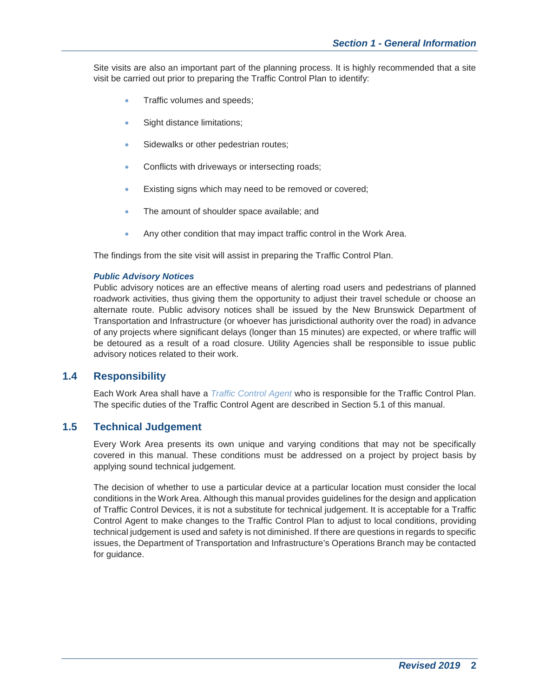Site visits are also an important part of the planning process. It is highly recommended that a site visit be carried out prior to preparing the Traffic Control Plan to identify:

- Traffic volumes and speeds;
- Sight distance limitations;
- **Sidewalks or other pedestrian routes;**
- Conflicts with driveways or intersecting roads;
- **Existing signs which may need to be removed or covered;**
- The amount of shoulder space available; and
- Any other condition that may impact traffic control in the Work Area.

The findings from the site visit will assist in preparing the Traffic Control Plan.

#### *Public Advisory Notices*

Public advisory notices are an effective means of alerting road users and pedestrians of planned roadwork activities, thus giving them the opportunity to adjust their travel schedule or choose an alternate route. Public advisory notices shall be issued by the New Brunswick Department of Transportation and Infrastructure (or whoever has jurisdictional authority over the road) in advance of any projects where significant delays (longer than 15 minutes) are expected, or where traffic will be detoured as a result of a road closure. Utility Agencies shall be responsible to issue public advisory notices related to their work.

## **1.4 Responsibility**

Each Work Area shall have a *Traffic Control Agent* who is responsible for the Traffic Control Plan. The specific duties of the Traffic Control Agent are described in Section 5.1 of this manual.

## **1.5 Technical Judgement**

Every Work Area presents its own unique and varying conditions that may not be specifically covered in this manual. These conditions must be addressed on a project by project basis by applying sound technical judgement.

The decision of whether to use a particular device at a particular location must consider the local conditions in the Work Area. Although this manual provides guidelines for the design and application of Traffic Control Devices, it is not a substitute for technical judgement. It is acceptable for a Traffic Control Agent to make changes to the Traffic Control Plan to adjust to local conditions, providing technical judgement is used and safety is not diminished. If there are questions in regards to specific issues, the Department of Transportation and Infrastructure's Operations Branch may be contacted for guidance.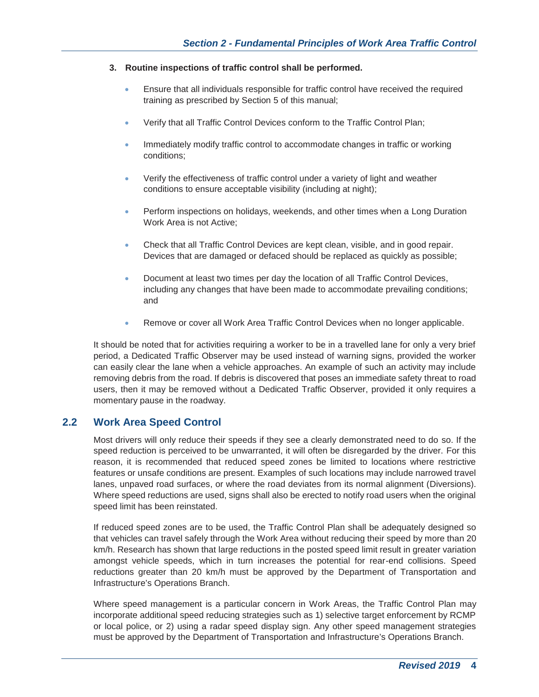#### **3. Routine inspections of traffic control shall be performed.**

- Ensure that all individuals responsible for traffic control have received the required training as prescribed by Section 5 of this manual;
- Verify that all Traffic Control Devices conform to the Traffic Control Plan;
- Immediately modify traffic control to accommodate changes in traffic or working conditions;
- Verify the effectiveness of traffic control under a variety of light and weather conditions to ensure acceptable visibility (including at night);
- Perform inspections on holidays, weekends, and other times when a Long Duration Work Area is not Active;
- **•** Check that all Traffic Control Devices are kept clean, visible, and in good repair. Devices that are damaged or defaced should be replaced as quickly as possible;
- Document at least two times per day the location of all Traffic Control Devices, including any changes that have been made to accommodate prevailing conditions; and
- Remove or cover all Work Area Traffic Control Devices when no longer applicable.

It should be noted that for activities requiring a worker to be in a travelled lane for only a very brief period, a Dedicated Traffic Observer may be used instead of warning signs, provided the worker can easily clear the lane when a vehicle approaches. An example of such an activity may include removing debris from the road. If debris is discovered that poses an immediate safety threat to road users, then it may be removed without a Dedicated Traffic Observer, provided it only requires a momentary pause in the roadway.

## **2.2 Work Area Speed Control**

Most drivers will only reduce their speeds if they see a clearly demonstrated need to do so. If the speed reduction is perceived to be unwarranted, it will often be disregarded by the driver. For this reason, it is recommended that reduced speed zones be limited to locations where restrictive features or unsafe conditions are present. Examples of such locations may include narrowed travel lanes, unpaved road surfaces, or where the road deviates from its normal alignment (Diversions). Where speed reductions are used, signs shall also be erected to notify road users when the original speed limit has been reinstated.

If reduced speed zones are to be used, the Traffic Control Plan shall be adequately designed so that vehicles can travel safely through the Work Area without reducing their speed by more than 20 km/h. Research has shown that large reductions in the posted speed limit result in greater variation amongst vehicle speeds, which in turn increases the potential for rear-end collisions. Speed reductions greater than 20 km/h must be approved by the Department of Transportation and Infrastructure's Operations Branch.

Where speed management is a particular concern in Work Areas, the Traffic Control Plan may incorporate additional speed reducing strategies such as 1) selective target enforcement by RCMP or local police, or 2) using a radar speed display sign. Any other speed management strategies must be approved by the Department of Transportation and Infrastructure's Operations Branch.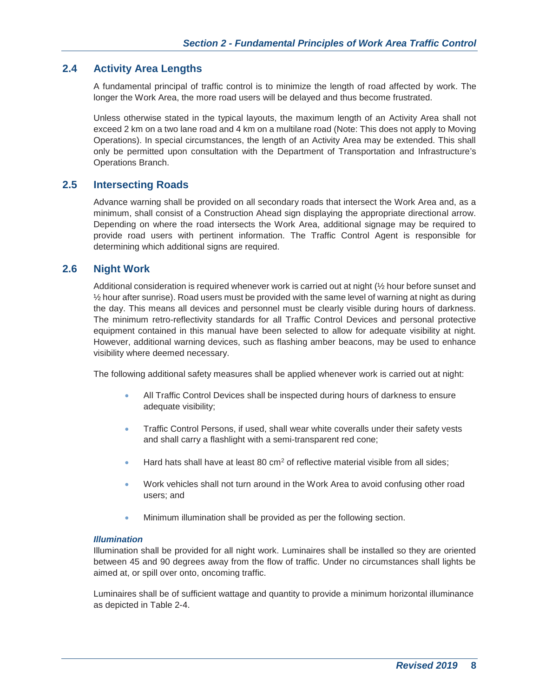## **2.4 Activity Area Lengths**

A fundamental principal of traffic control is to minimize the length of road affected by work. The longer the Work Area, the more road users will be delayed and thus become frustrated.

Unless otherwise stated in the typical layouts, the maximum length of an Activity Area shall not exceed 2 km on a two lane road and 4 km on a multilane road (Note: This does not apply to Moving Operations). In special circumstances, the length of an Activity Area may be extended. This shall only be permitted upon consultation with the Department of Transportation and Infrastructure's Operations Branch.

## **2.5 Intersecting Roads**

Advance warning shall be provided on all secondary roads that intersect the Work Area and, as a minimum, shall consist of a Construction Ahead sign displaying the appropriate directional arrow. Depending on where the road intersects the Work Area, additional signage may be required to provide road users with pertinent information. The Traffic Control Agent is responsible for determining which additional signs are required.

### **2.6 Night Work**

Additional consideration is required whenever work is carried out at night (½ hour before sunset and  $\frac{1}{2}$  hour after sunrise). Road users must be provided with the same level of warning at night as during the day. This means all devices and personnel must be clearly visible during hours of darkness. The minimum retro-reflectivity standards for all Traffic Control Devices and personal protective equipment contained in this manual have been selected to allow for adequate visibility at night. However, additional warning devices, such as flashing amber beacons, may be used to enhance visibility where deemed necessary.

The following additional safety measures shall be applied whenever work is carried out at night:

- All Traffic Control Devices shall be inspected during hours of darkness to ensure adequate visibility;
- Traffic Control Persons, if used, shall wear white coveralls under their safety vests and shall carry a flashlight with a semi-transparent red cone;
- Hard hats shall have at least 80 cm<sup>2</sup> of reflective material visible from all sides;
- Work vehicles shall not turn around in the Work Area to avoid confusing other road users; and
- Minimum illumination shall be provided as per the following section.

#### *Illumination*

Illumination shall be provided for all night work. Luminaires shall be installed so they are oriented between 45 and 90 degrees away from the flow of traffic. Under no circumstances shall lights be aimed at, or spill over onto, oncoming traffic.

Luminaires shall be of sufficient wattage and quantity to provide a minimum horizontal illuminance as depicted in Table 2-4.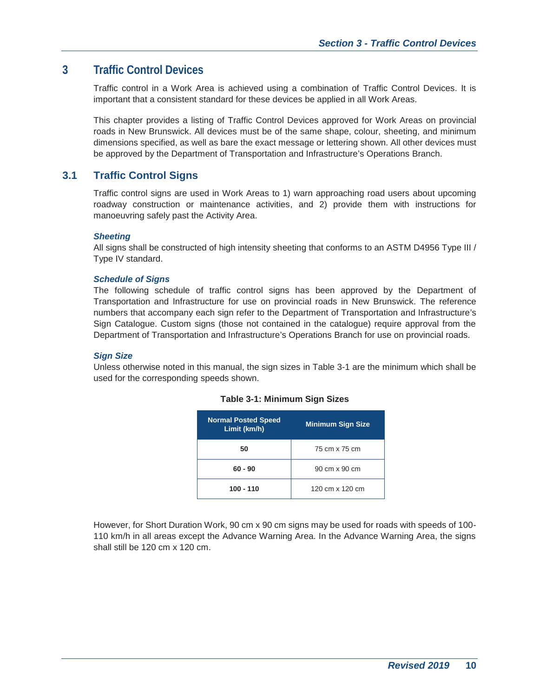# **3 Traffic Control Devices**

Traffic control in a Work Area is achieved using a combination of Traffic Control Devices. It is important that a consistent standard for these devices be applied in all Work Areas.

This chapter provides a listing of Traffic Control Devices approved for Work Areas on provincial roads in New Brunswick. All devices must be of the same shape, colour, sheeting, and minimum dimensions specified, as well as bare the exact message or lettering shown. All other devices must be approved by the Department of Transportation and Infrastructure's Operations Branch.

## **3.1 Traffic Control Signs**

Traffic control signs are used in Work Areas to 1) warn approaching road users about upcoming roadway construction or maintenance activities, and 2) provide them with instructions for manoeuvring safely past the Activity Area.

#### *Sheeting*

All signs shall be constructed of high intensity sheeting that conforms to an ASTM D4956 Type III / Type IV standard.

#### *Schedule of Signs*

The following schedule of traffic control signs has been approved by the Department of Transportation and Infrastructure for use on provincial roads in New Brunswick. The reference numbers that accompany each sign refer to the Department of Transportation and Infrastructure's Sign Catalogue. Custom signs (those not contained in the catalogue) require approval from the Department of Transportation and Infrastructure's Operations Branch for use on provincial roads.

### *Sign Size*

Unless otherwise noted in this manual, the sign sizes in Table 3-1 are the minimum which shall be used for the corresponding speeds shown.

| <b>Normal Posted Speed</b><br>Limit (km/h) | <b>Minimum Sign Size</b> |
|--------------------------------------------|--------------------------|
| 50                                         | 75 cm x 75 cm            |
| $60 - 90$                                  | 90 cm x 90 cm            |
| $100 - 110$                                | 120 cm x 120 cm          |

#### **Table 3-1: Minimum Sign Sizes**

However, for Short Duration Work, 90 cm x 90 cm signs may be used for roads with speeds of 100- 110 km/h in all areas except the Advance Warning Area. In the Advance Warning Area, the signs shall still be 120 cm x 120 cm.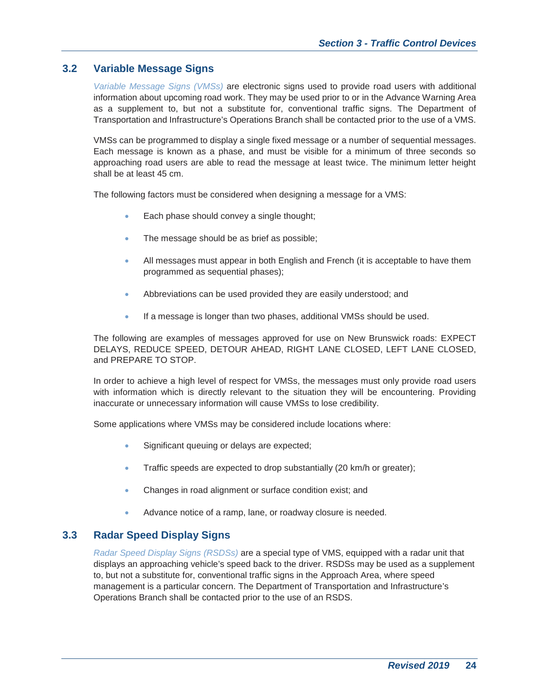## **3.2 Variable Message Signs**

*Variable Message Signs (VMSs)* are electronic signs used to provide road users with additional information about upcoming road work. They may be used prior to or in the Advance Warning Area as a supplement to, but not a substitute for, conventional traffic signs. The Department of Transportation and Infrastructure's Operations Branch shall be contacted prior to the use of a VMS.

VMSs can be programmed to display a single fixed message or a number of sequential messages. Each message is known as a phase, and must be visible for a minimum of three seconds so approaching road users are able to read the message at least twice. The minimum letter height shall be at least 45 cm.

The following factors must be considered when designing a message for a VMS:

- Each phase should convey a single thought;
- The message should be as brief as possible;
- All messages must appear in both English and French (it is acceptable to have them programmed as sequential phases);
- Abbreviations can be used provided they are easily understood; and
- **If a message is longer than two phases, additional VMSs should be used.**

The following are examples of messages approved for use on New Brunswick roads: EXPECT DELAYS, REDUCE SPEED, DETOUR AHEAD, RIGHT LANE CLOSED, LEFT LANE CLOSED, and PREPARE TO STOP.

In order to achieve a high level of respect for VMSs, the messages must only provide road users with information which is directly relevant to the situation they will be encountering. Providing inaccurate or unnecessary information will cause VMSs to lose credibility.

Some applications where VMSs may be considered include locations where:

- Significant queuing or delays are expected;
- Traffic speeds are expected to drop substantially (20 km/h or greater);
- Changes in road alignment or surface condition exist; and
- Advance notice of a ramp, lane, or roadway closure is needed.

## **3.3 Radar Speed Display Signs**

*Radar Speed Display Signs (RSDSs)* are a special type of VMS, equipped with a radar unit that displays an approaching vehicle's speed back to the driver. RSDSs may be used as a supplement to, but not a substitute for, conventional traffic signs in the Approach Area, where speed management is a particular concern. The Department of Transportation and Infrastructure's Operations Branch shall be contacted prior to the use of an RSDS.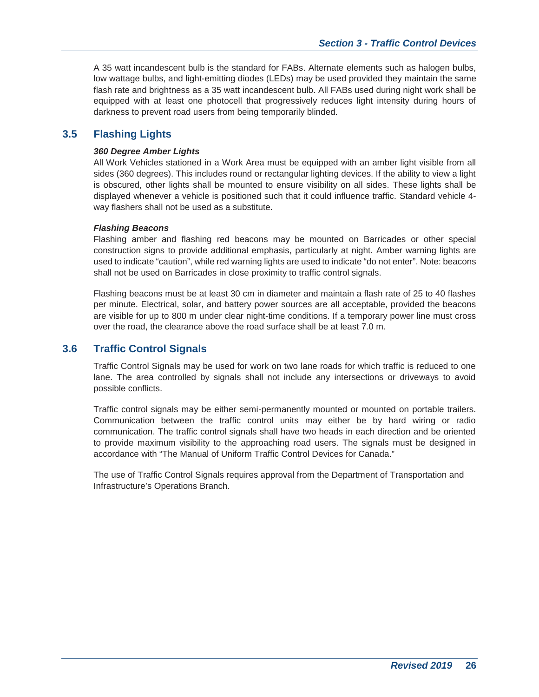A 35 watt incandescent bulb is the standard for FABs. Alternate elements such as halogen bulbs, low wattage bulbs, and light-emitting diodes (LEDs) may be used provided they maintain the same flash rate and brightness as a 35 watt incandescent bulb. All FABs used during night work shall be equipped with at least one photocell that progressively reduces light intensity during hours of darkness to prevent road users from being temporarily blinded.

## **3.5 Flashing Lights**

#### *360 Degree Amber Lights*

All Work Vehicles stationed in a Work Area must be equipped with an amber light visible from all sides (360 degrees). This includes round or rectangular lighting devices. If the ability to view a light is obscured, other lights shall be mounted to ensure visibility on all sides. These lights shall be displayed whenever a vehicle is positioned such that it could influence traffic. Standard vehicle 4 way flashers shall not be used as a substitute.

#### *Flashing Beacons*

Flashing amber and flashing red beacons may be mounted on Barricades or other special construction signs to provide additional emphasis, particularly at night. Amber warning lights are used to indicate "caution", while red warning lights are used to indicate "do not enter". Note: beacons shall not be used on Barricades in close proximity to traffic control signals.

Flashing beacons must be at least 30 cm in diameter and maintain a flash rate of 25 to 40 flashes per minute. Electrical, solar, and battery power sources are all acceptable, provided the beacons are visible for up to 800 m under clear night-time conditions. If a temporary power line must cross over the road, the clearance above the road surface shall be at least 7.0 m.

## **3.6 Traffic Control Signals**

Traffic Control Signals may be used for work on two lane roads for which traffic is reduced to one lane. The area controlled by signals shall not include any intersections or driveways to avoid possible conflicts.

Traffic control signals may be either semi-permanently mounted or mounted on portable trailers. Communication between the traffic control units may either be by hard wiring or radio communication. The traffic control signals shall have two heads in each direction and be oriented to provide maximum visibility to the approaching road users. The signals must be designed in accordance with "The Manual of Uniform Traffic Control Devices for Canada."

The use of Traffic Control Signals requires approval from the Department of Transportation and Infrastructure's Operations Branch.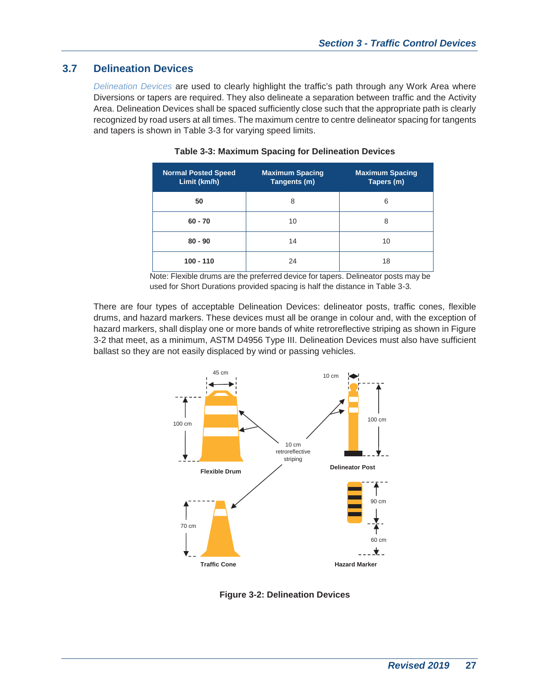## **3.7 Delineation Devices**

*Delineation Devices* are used to clearly highlight the traffic's path through any Work Area where Diversions or tapers are required. They also delineate a separation between traffic and the Activity Area. Delineation Devices shall be spaced sufficiently close such that the appropriate path is clearly recognized by road users at all times. The maximum centre to centre delineator spacing for tangents and tapers is shown in Table 3-3 for varying speed limits.

| <b>Normal Posted Speed</b><br>Limit (km/h) | <b>Maximum Spacing</b><br>Tangents (m) | <b>Maximum Spacing</b><br>Tapers (m) |
|--------------------------------------------|----------------------------------------|--------------------------------------|
| 50                                         | 8                                      | 6                                    |
| $60 - 70$                                  | 10                                     | 8                                    |
| $80 - 90$                                  | 14                                     | 10                                   |
| $100 - 110$                                | 24                                     | 18                                   |

#### **Table 3-3: Maximum Spacing for Delineation Devices**

Note: Flexible drums are the preferred device for tapers. Delineator posts may be used for Short Durations provided spacing is half the distance in Table 3-3.

There are four types of acceptable Delineation Devices: delineator posts, traffic cones, flexible drums, and hazard markers. These devices must all be orange in colour and, with the exception of hazard markers, shall display one or more bands of white retroreflective striping as shown in Figure 3-2 that meet, as a minimum, ASTM D4956 Type III. Delineation Devices must also have sufficient ballast so they are not easily displaced by wind or passing vehicles.



**Figure 3-2: Delineation Devices**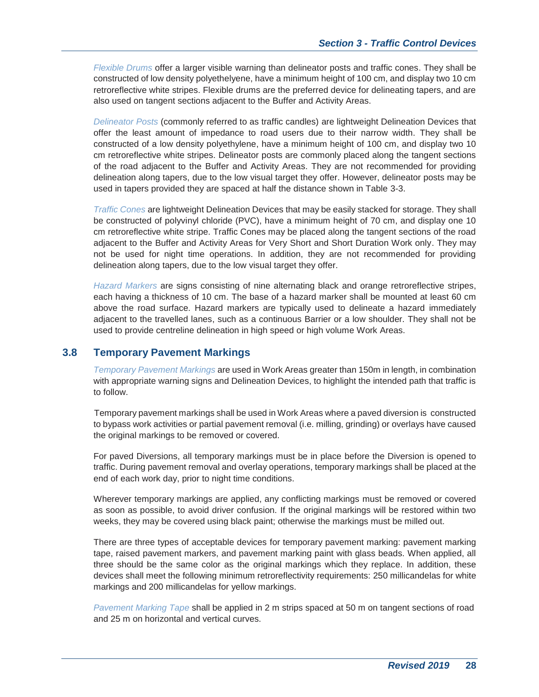*Flexible Drums* offer a larger visible warning than delineator posts and traffic cones. They shall be constructed of low density polyethelyene, have a minimum height of 100 cm, and display two 10 cm retroreflective white stripes. Flexible drums are the preferred device for delineating tapers, and are also used on tangent sections adjacent to the Buffer and Activity Areas.

*Delineator Posts* (commonly referred to as traffic candles) are lightweight Delineation Devices that offer the least amount of impedance to road users due to their narrow width. They shall be constructed of a low density polyethylene, have a minimum height of 100 cm, and display two 10 cm retroreflective white stripes. Delineator posts are commonly placed along the tangent sections of the road adjacent to the Buffer and Activity Areas. They are not recommended for providing delineation along tapers, due to the low visual target they offer. However, delineator posts may be used in tapers provided they are spaced at half the distance shown in Table 3-3.

*Traffic Cones* are lightweight Delineation Devices that may be easily stacked for storage. They shall be constructed of polyvinyl chloride (PVC), have a minimum height of 70 cm, and display one 10 cm retroreflective white stripe. Traffic Cones may be placed along the tangent sections of the road adjacent to the Buffer and Activity Areas for Very Short and Short Duration Work only. They may not be used for night time operations. In addition, they are not recommended for providing delineation along tapers, due to the low visual target they offer.

*Hazard Markers* are signs consisting of nine alternating black and orange retroreflective stripes, each having a thickness of 10 cm. The base of a hazard marker shall be mounted at least 60 cm above the road surface. Hazard markers are typically used to delineate a hazard immediately adjacent to the travelled lanes, such as a continuous Barrier or a low shoulder. They shall not be used to provide centreline delineation in high speed or high volume Work Areas.

## **3.8 Temporary Pavement Markings**

*Temporary Pavement Markings* are used in Work Areas greater than 150m in length, in combination with appropriate warning signs and Delineation Devices, to highlight the intended path that traffic is to follow.

Temporary pavement markings shall be used in Work Areas where a paved diversion is constructed to bypass work activities or partial pavement removal (i.e. milling, grinding) or overlays have caused the original markings to be removed or covered.

For paved Diversions, all temporary markings must be in place before the Diversion is opened to traffic. During pavement removal and overlay operations, temporary markings shall be placed at the end of each work day, prior to night time conditions.

Wherever temporary markings are applied, any conflicting markings must be removed or covered as soon as possible, to avoid driver confusion. If the original markings will be restored within two weeks, they may be covered using black paint; otherwise the markings must be milled out.

There are three types of acceptable devices for temporary pavement marking: pavement marking tape, raised pavement markers, and pavement marking paint with glass beads. When applied, all three should be the same color as the original markings which they replace. In addition, these devices shall meet the following minimum retroreflectivity requirements: 250 millicandelas for white markings and 200 millicandelas for yellow markings.

*Pavement Marking Tape* shall be applied in 2 m strips spaced at 50 m on tangent sections of road and 25 m on horizontal and vertical curves.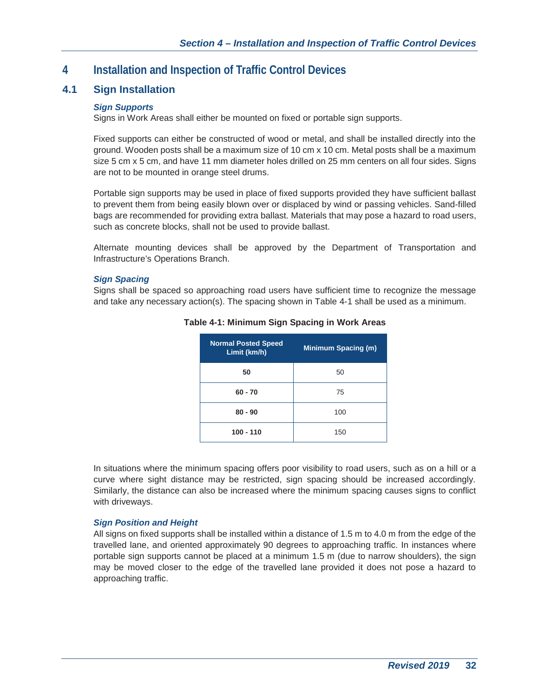# **4 Installation and Inspection of Traffic Control Devices**

## **4.1 Sign Installation**

## *Sign Supports*

Signs in Work Areas shall either be mounted on fixed or portable sign supports.

Fixed supports can either be constructed of wood or metal, and shall be installed directly into the ground. Wooden posts shall be a maximum size of 10 cm x 10 cm. Metal posts shall be a maximum size 5 cm x 5 cm, and have 11 mm diameter holes drilled on 25 mm centers on all four sides. Signs are not to be mounted in orange steel drums.

Portable sign supports may be used in place of fixed supports provided they have sufficient ballast to prevent them from being easily blown over or displaced by wind or passing vehicles. Sand-filled bags are recommended for providing extra ballast. Materials that may pose a hazard to road users, such as concrete blocks, shall not be used to provide ballast.

Alternate mounting devices shall be approved by the Department of Transportation and Infrastructure's Operations Branch.

### *Sign Spacing*

Signs shall be spaced so approaching road users have sufficient time to recognize the message and take any necessary action(s). The spacing shown in Table 4-1 shall be used as a minimum.

| <b>Normal Posted Speed</b><br>Limit (km/h) | <b>Minimum Spacing (m)</b> |
|--------------------------------------------|----------------------------|
| 50                                         | 50                         |
| $60 - 70$                                  | 75                         |
| $80 - 90$                                  | 100                        |
| $100 - 110$                                | 150                        |

### **Table 4-1: Minimum Sign Spacing in Work Areas**

In situations where the minimum spacing offers poor visibility to road users, such as on a hill or a curve where sight distance may be restricted, sign spacing should be increased accordingly. Similarly, the distance can also be increased where the minimum spacing causes signs to conflict with driveways.

## *Sign Position and Height*

All signs on fixed supports shall be installed within a distance of 1.5 m to 4.0 m from the edge of the travelled lane, and oriented approximately 90 degrees to approaching traffic. In instances where portable sign supports cannot be placed at a minimum 1.5 m (due to narrow shoulders), the sign may be moved closer to the edge of the travelled lane provided it does not pose a hazard to approaching traffic.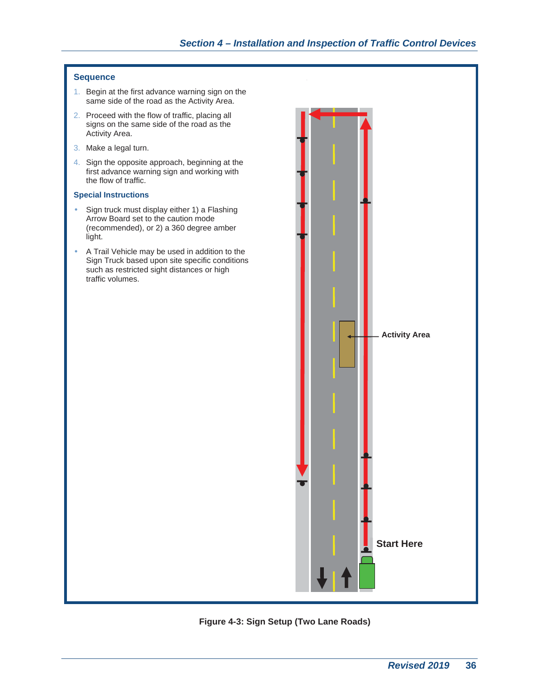#### **Sequence**

- 1. Begin at the first advance warning sign on the same side of the road as the Activity Area.
- 2. Proceed with the flow of traffic, placing all signs on the same side of the road as the Activity Area.
- 3. Make a legal turn.
- 4. Sign the opposite approach, beginning at the first advance warning sign and working with the flow of traffic.

#### **Special Instructions**

- Sign truck must display either 1) a Flashing Arrow Board set to the caution mode (recommended), or 2) a 360 degree amber light.
- A Trail Vehicle may be used in addition to the Sign Truck based upon site specific conditions such as restricted sight distances or high traffic volumes.



## **Figure 4-3: Sign Setup (Two Lane Roads)**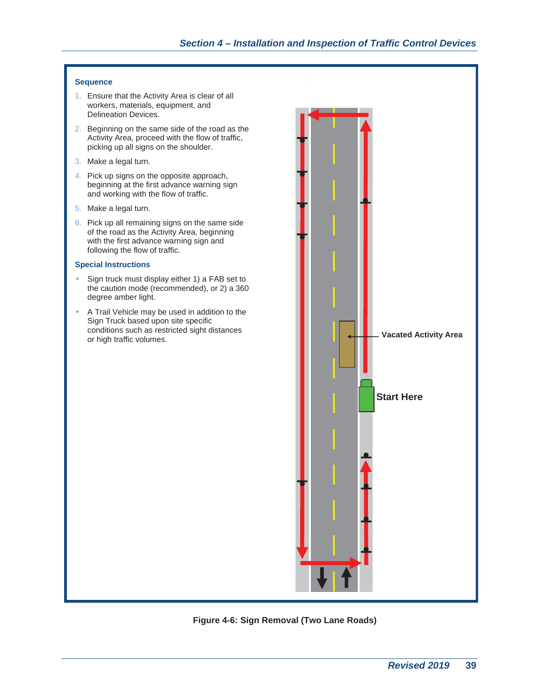#### **Sequence**

- 1. Ensure that the Activity Area is clear of all workers, materials, equipment, and Delineation Devices.
- 2. Beginning on the same side of the road as the Activity Area, proceed with the flow of traffic, picking up all signs on the shoulder.
- 3. Make a legal turn.
- 4. Pick up signs on the opposite approach, beginning at the first advance warning sign and working with the flow of traffic.
- 5. Make a legal turn.
- 6. Pick up all remaining signs on the same side of the road as the Activity Area, beginning with the first advance warning sign and following the flow of traffic.

#### **Special Instructions**

- Sign truck must display either 1) a FAB set to the caution mode (recommended), or 2) a 360 degree amber light.
- A Trail Vehicle may be used in addition to the Sign Truck based upon site specific conditions such as restricted sight distances



**Figure 4-6: Sign Removal (Two Lane Roads)**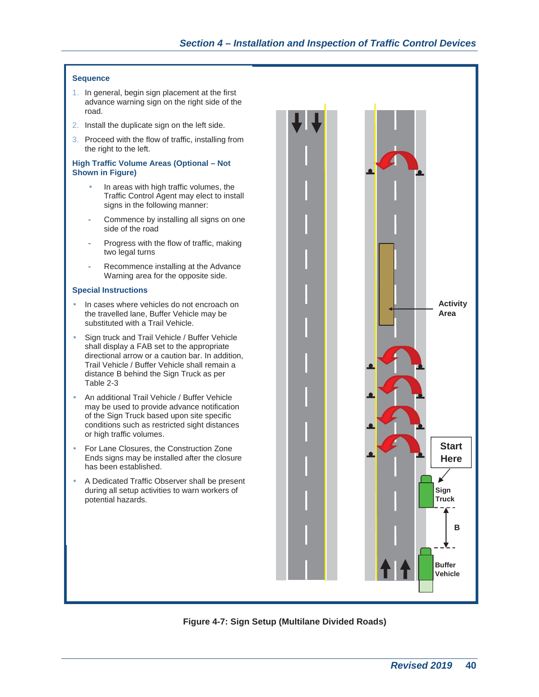## *Section 4 – Installation and Inspection of Traffic Control Devices*

#### **Sequence**

- 1. In general, begin sign placement at the first advance warning sign on the right side of the road.
- 2. Install the duplicate sign on the left side.
- 3. Proceed with the flow of traffic, installing from the right to the left.

#### **High Traffic Volume Areas (Optional – Not Shown in Figure)**

- In areas with high traffic volumes, the Traffic Control Agent may elect to install signs in the following manner:
- Commence by installing all signs on one side of the road
- Progress with the flow of traffic, making two legal turns
- Recommence installing at the Advance Warning area for the opposite side.

#### **Special Instructions**

- In cases where vehicles do not encroach on the travelled lane, Buffer Vehicle may be substituted with a Trail Vehicle.
- Sign truck and Trail Vehicle / Buffer Vehicle shall display a FAB set to the appropriate directional arrow or a caution bar. In addition, Trail Vehicle / Buffer Vehicle shall remain a distance B behind the Sign Truck as per Table 2-3
- An additional Trail Vehicle / Buffer Vehicle may be used to provide advance notification of the Sign Truck based upon site specific conditions such as restricted sight distances or high traffic volumes.
- For Lane Closures, the Construction Zone Ends signs may be installed after the closure has been established.
- A Dedicated Traffic Observer shall be present during all setup activities to warn workers of potential hazards.



**Figure 4-7: Sign Setup (Multilane Divided Roads)**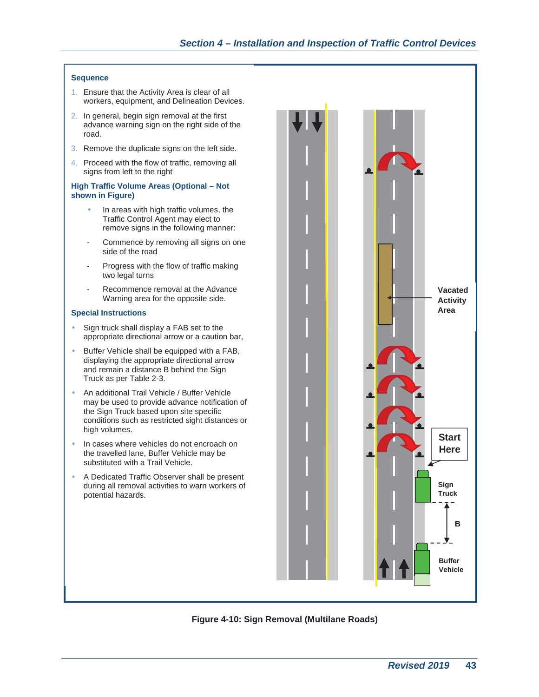## *Section 4 – Installation and Inspection of Traffic Control Devices*

#### **Sequence**

- 1. Ensure that the Activity Area is clear of all workers, equipment, and Delineation Devices.
- 2. In general, begin sign removal at the first advance warning sign on the right side of the road.
- 3. Remove the duplicate signs on the left side.
- 4. Proceed with the flow of traffic, removing all signs from left to the right

#### **High Traffic Volume Areas (Optional – Not shown in Figure)**

- In areas with high traffic volumes, the Traffic Control Agent may elect to remove signs in the following manner:
- Commence by removing all signs on one side of the road
- Progress with the flow of traffic making two legal turns
- Recommence removal at the Advance Warning area for the opposite side.

#### **Special Instructions**

- Sign truck shall display a FAB set to the appropriate directional arrow or a caution bar,
- Buffer Vehicle shall be equipped with a FAB, displaying the appropriate directional arrow and remain a distance B behind the Sign Truck as per Table 2-3.
- An additional Trail Vehicle / Buffer Vehicle may be used to provide advance notification of the Sign Truck based upon site specific conditions such as restricted sight distances or high volumes.
- In cases where vehicles do not encroach on the travelled lane, Buffer Vehicle may be substituted with a Trail Vehicle.
- A Dedicated Traffic Observer shall be present during all removal activities to warn workers of potential hazards.



#### **Figure 4-10: Sign Removal (Multilane Roads)**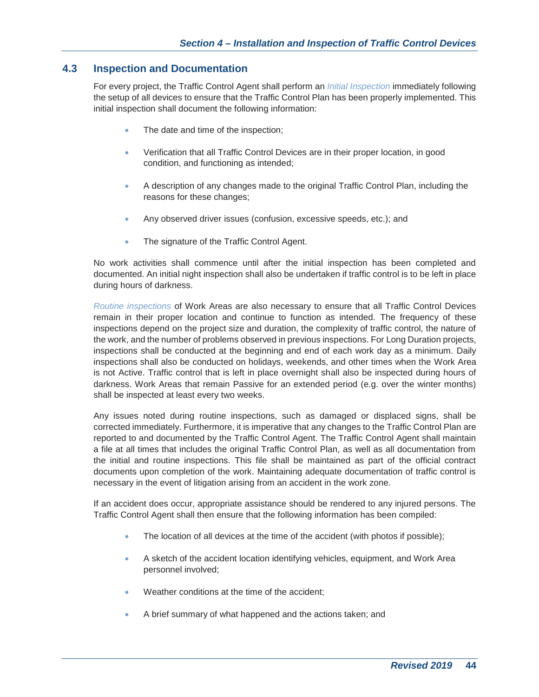## **4.3 Inspection and Documentation**

For every project, the Traffic Control Agent shall perform an *Initial Inspection* immediately following the setup of all devices to ensure that the Traffic Control Plan has been properly implemented. This initial inspection shall document the following information:

- The date and time of the inspection;
- Verification that all Traffic Control Devices are in their proper location, in good condition, and functioning as intended;
- A description of any changes made to the original Traffic Control Plan, including the reasons for these changes;
- Any observed driver issues (confusion, excessive speeds, etc.); and
- The signature of the Traffic Control Agent.

No work activities shall commence until after the initial inspection has been completed and documented. An initial night inspection shall also be undertaken if traffic control is to be left in place during hours of darkness.

*Routine inspections* of Work Areas are also necessary to ensure that all Traffic Control Devices remain in their proper location and continue to function as intended. The frequency of these inspections depend on the project size and duration, the complexity of traffic control, the nature of the work, and the number of problems observed in previous inspections. For Long Duration projects, inspections shall be conducted at the beginning and end of each work day as a minimum. Daily inspections shall also be conducted on holidays, weekends, and other times when the Work Area is not Active. Traffic control that is left in place overnight shall also be inspected during hours of darkness. Work Areas that remain Passive for an extended period (e.g. over the winter months) shall be inspected at least every two weeks.

Any issues noted during routine inspections, such as damaged or displaced signs, shall be corrected immediately. Furthermore, it is imperative that any changes to the Traffic Control Plan are reported to and documented by the Traffic Control Agent. The Traffic Control Agent shall maintain a file at all times that includes the original Traffic Control Plan, as well as all documentation from the initial and routine inspections. This file shall be maintained as part of the official contract documents upon completion of the work. Maintaining adequate documentation of traffic control is necessary in the event of litigation arising from an accident in the work zone.

If an accident does occur, appropriate assistance should be rendered to any injured persons. The Traffic Control Agent shall then ensure that the following information has been compiled:

- The location of all devices at the time of the accident (with photos if possible);
- A sketch of the accident location identifying vehicles, equipment, and Work Area personnel involved;
- Weather conditions at the time of the accident;
- A brief summary of what happened and the actions taken; and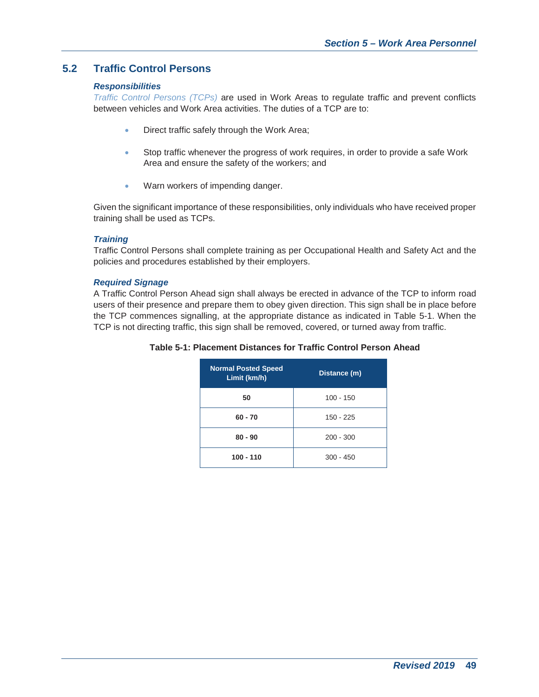## **5.2 Traffic Control Persons**

#### *Responsibilities*

*Traffic Control Persons (TCPs)* are used in Work Areas to regulate traffic and prevent conflicts between vehicles and Work Area activities. The duties of a TCP are to:

- Direct traffic safely through the Work Area;
- Stop traffic whenever the progress of work requires, in order to provide a safe Work Area and ensure the safety of the workers; and
- Warn workers of impending danger.

Given the significant importance of these responsibilities, only individuals who have received proper training shall be used as TCPs.

#### *Training*

Traffic Control Persons shall complete training as per Occupational Health and Safety Act and the policies and procedures established by their employers.

#### *Required Signage*

A Traffic Control Person Ahead sign shall always be erected in advance of the TCP to inform road users of their presence and prepare them to obey given direction. This sign shall be in place before the TCP commences signalling, at the appropriate distance as indicated in Table 5-1. When the TCP is not directing traffic, this sign shall be removed, covered, or turned away from traffic.

#### **Table 5-1: Placement Distances for Traffic Control Person Ahead**

| <b>Normal Posted Speed</b><br>Limit (km/h) | Distance (m) |
|--------------------------------------------|--------------|
| 50                                         | $100 - 150$  |
| $60 - 70$                                  | 150 - 225    |
| $80 - 90$                                  | $200 - 300$  |
| $100 - 110$                                | $300 - 450$  |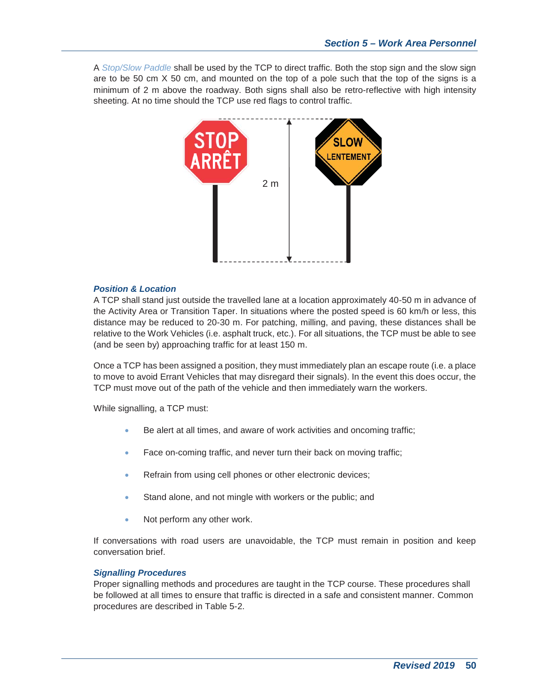A *Stop/Slow Paddle* shall be used by the TCP to direct traffic. Both the stop sign and the slow sign are to be 50 cm X 50 cm, and mounted on the top of a pole such that the top of the signs is a minimum of 2 m above the roadway. Both signs shall also be retro-reflective with high intensity sheeting. At no time should the TCP use red flags to control traffic.



#### *Position & Location*

A TCP shall stand just outside the travelled lane at a location approximately 40-50 m in advance of the Activity Area or Transition Taper. In situations where the posted speed is 60 km/h or less, this distance may be reduced to 20-30 m. For patching, milling, and paving, these distances shall be relative to the Work Vehicles (i.e. asphalt truck, etc.). For all situations, the TCP must be able to see (and be seen by) approaching traffic for at least 150 m.

Once a TCP has been assigned a position, they must immediately plan an escape route (i.e. a place to move to avoid Errant Vehicles that may disregard their signals). In the event this does occur, the TCP must move out of the path of the vehicle and then immediately warn the workers.

While signalling, a TCP must:

- Be alert at all times, and aware of work activities and oncoming traffic;
- Face on-coming traffic, and never turn their back on moving traffic;
- **Refrain from using cell phones or other electronic devices;**
- Stand alone, and not mingle with workers or the public; and
- Not perform any other work.

If conversations with road users are unavoidable, the TCP must remain in position and keep conversation brief.

#### *Signalling Procedures*

Proper signalling methods and procedures are taught in the TCP course. These procedures shall be followed at all times to ensure that traffic is directed in a safe and consistent manner. Common procedures are described in Table 5-2.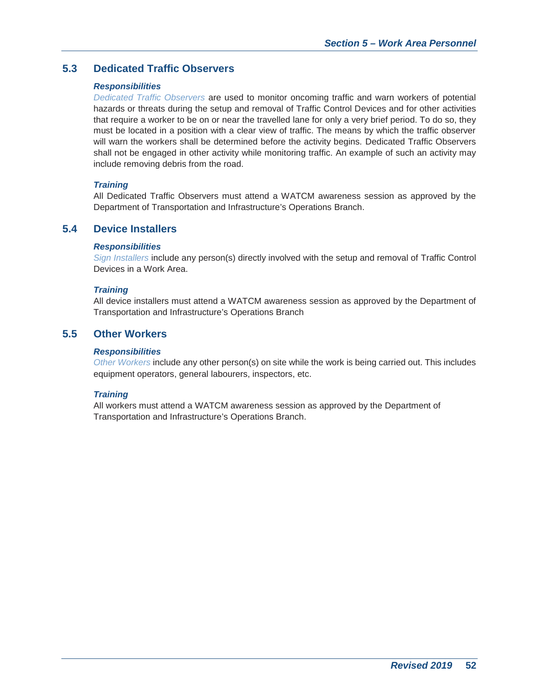## **5.3 Dedicated Traffic Observers**

#### *Responsibilities*

*Dedicated Traffic Observers* are used to monitor oncoming traffic and warn workers of potential hazards or threats during the setup and removal of Traffic Control Devices and for other activities that require a worker to be on or near the travelled lane for only a very brief period. To do so, they must be located in a position with a clear view of traffic. The means by which the traffic observer will warn the workers shall be determined before the activity begins. Dedicated Traffic Observers shall not be engaged in other activity while monitoring traffic. An example of such an activity may include removing debris from the road.

#### *Training*

All Dedicated Traffic Observers must attend a WATCM awareness session as approved by the Department of Transportation and Infrastructure's Operations Branch.

## **5.4 Device Installers**

#### *Responsibilities*

*Sign Installers* include any person(s) directly involved with the setup and removal of Traffic Control Devices in a Work Area.

#### *Training*

All device installers must attend a WATCM awareness session as approved by the Department of Transportation and Infrastructure's Operations Branch

## **5.5 Other Workers**

#### *Responsibilities*

*Other Workers* include any other person(s) on site while the work is being carried out. This includes equipment operators, general labourers, inspectors, etc.

#### *Training*

All workers must attend a WATCM awareness session as approved by the Department of Transportation and Infrastructure's Operations Branch.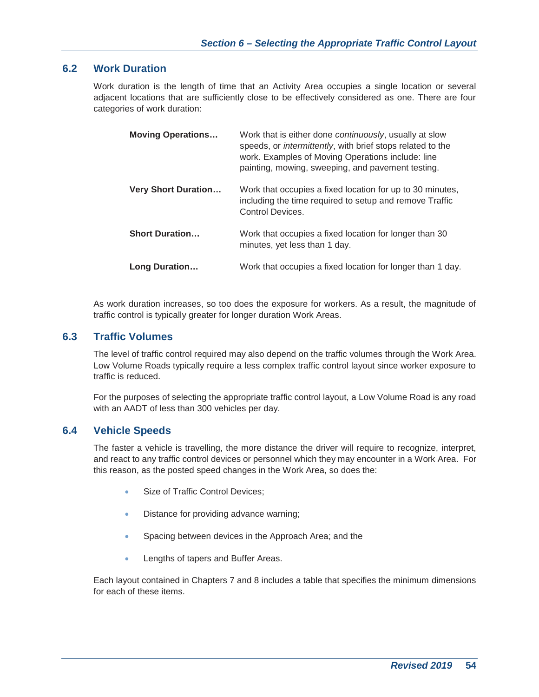## **6.2 Work Duration**

Work duration is the length of time that an Activity Area occupies a single location or several adjacent locations that are sufficiently close to be effectively considered as one. There are four categories of work duration:

| <b>Moving Operations</b>   | Work that is either done continuously, usually at slow<br>speeds, or <i>intermittently</i> , with brief stops related to the<br>work. Examples of Moving Operations include: line<br>painting, mowing, sweeping, and pavement testing. |
|----------------------------|----------------------------------------------------------------------------------------------------------------------------------------------------------------------------------------------------------------------------------------|
| <b>Very Short Duration</b> | Work that occupies a fixed location for up to 30 minutes,<br>including the time required to setup and remove Traffic<br>Control Devices.                                                                                               |
| <b>Short Duration</b>      | Work that occupies a fixed location for longer than 30<br>minutes, yet less than 1 day.                                                                                                                                                |
| Long Duration              | Work that occupies a fixed location for longer than 1 day.                                                                                                                                                                             |

As work duration increases, so too does the exposure for workers. As a result, the magnitude of traffic control is typically greater for longer duration Work Areas.

## **6.3 Traffic Volumes**

The level of traffic control required may also depend on the traffic volumes through the Work Area. Low Volume Roads typically require a less complex traffic control layout since worker exposure to traffic is reduced.

For the purposes of selecting the appropriate traffic control layout, a Low Volume Road is any road with an AADT of less than 300 vehicles per day.

## **6.4 Vehicle Speeds**

The faster a vehicle is travelling, the more distance the driver will require to recognize, interpret, and react to any traffic control devices or personnel which they may encounter in a Work Area. For this reason, as the posted speed changes in the Work Area, so does the:

- Size of Traffic Control Devices;
- Distance for providing advance warning;
- Spacing between devices in the Approach Area; and the
- Lengths of tapers and Buffer Areas.

Each layout contained in Chapters 7 and 8 includes a table that specifies the minimum dimensions for each of these items.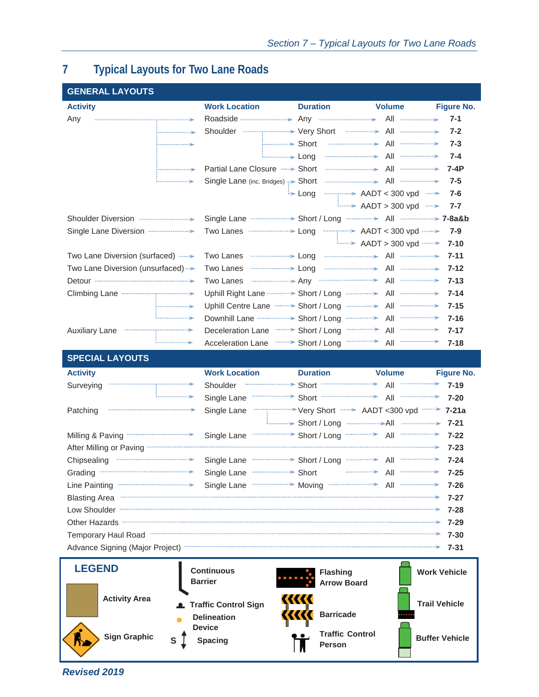# **7 Typical Layouts for Two Lane Roads**

| <b>GENERAL LAYOUTS</b>                                                                                                                                                                                                                   |                                                                                                                                                                                                                                           |                                                 |                                                      |                       |
|------------------------------------------------------------------------------------------------------------------------------------------------------------------------------------------------------------------------------------------|-------------------------------------------------------------------------------------------------------------------------------------------------------------------------------------------------------------------------------------------|-------------------------------------------------|------------------------------------------------------|-----------------------|
| <b>Activity</b>                                                                                                                                                                                                                          | <b>Work Location</b>                                                                                                                                                                                                                      | <b>Duration</b>                                 | <b>Volume</b>                                        | <b>Figure No.</b>     |
| Any                                                                                                                                                                                                                                      | Roadside <b>Constitution</b> Any <b>Constitution</b> All <b>Constitution</b>                                                                                                                                                              |                                                 |                                                      | $7 - 1$               |
|                                                                                                                                                                                                                                          | Shoulder <b>Constitution</b> Very Short <b>Constant All Constant All</b>                                                                                                                                                                  |                                                 |                                                      | $7 - 2$               |
|                                                                                                                                                                                                                                          |                                                                                                                                                                                                                                           |                                                 |                                                      | $7 - 3$               |
|                                                                                                                                                                                                                                          | <b>Long</b>                                                                                                                                                                                                                               |                                                 |                                                      | $7 - 4$               |
|                                                                                                                                                                                                                                          | Partial Lane Closure <b>&gt;</b> Short                                                                                                                                                                                                    |                                                 |                                                      | $7-4P$                |
|                                                                                                                                                                                                                                          | Single Lane (inc. Bridges) :>> Short                                                                                                                                                                                                      |                                                 |                                                      | $7 - 5$               |
|                                                                                                                                                                                                                                          |                                                                                                                                                                                                                                           | <b>E</b> Long                                   | <del></del> AADT < 300 vpd  >                        | $7 - 6$               |
|                                                                                                                                                                                                                                          |                                                                                                                                                                                                                                           |                                                 | <b>AADT</b> > 300 vpd <b></b>                        | $7 - 7$               |
|                                                                                                                                                                                                                                          |                                                                                                                                                                                                                                           |                                                 |                                                      |                       |
| Single Lane Diversion <b>manufacturers</b>                                                                                                                                                                                               |                                                                                                                                                                                                                                           |                                                 |                                                      | $7 - 9$               |
|                                                                                                                                                                                                                                          |                                                                                                                                                                                                                                           |                                                 | <b>AADT &gt; 300 vpd ······· &gt;</b> AADT > 300 vpd | $7 - 10$              |
| Two Lane Diversion (surfaced)                                                                                                                                                                                                            | Two Lanes <b>Commission</b> Long <b>Commission</b> All <b>Commission</b>                                                                                                                                                                  |                                                 |                                                      | $7 - 11$              |
| Two Lane Diversion (unsurfaced)                                                                                                                                                                                                          | Two Lanes <b>were seen as the comparison of the Cong Commission Congress All</b>                                                                                                                                                          |                                                 |                                                      | $7 - 12$              |
|                                                                                                                                                                                                                                          | Two Lanes <b>Constitutions</b> Any <b>Constitutions</b> All <b>Constitutions</b>                                                                                                                                                          |                                                 |                                                      | $7 - 13$              |
|                                                                                                                                                                                                                                          | Uphill Right Lane <b>Constant Short / Long Constant All Constant Server Short / Long</b>                                                                                                                                                  |                                                 |                                                      | $7 - 14$              |
|                                                                                                                                                                                                                                          | Uphill Centre Lane <b>manners</b> Short / Long <b>manual Constant All manual Centre</b>                                                                                                                                                   |                                                 |                                                      | $7 - 15$              |
|                                                                                                                                                                                                                                          |                                                                                                                                                                                                                                           |                                                 |                                                      | $7 - 16$              |
| <b>Auxiliary Lane</b>                                                                                                                                                                                                                    |                                                                                                                                                                                                                                           |                                                 |                                                      | $7 - 17$              |
|                                                                                                                                                                                                                                          | Acceleration Lane <b>Contains</b> Short / Long                                                                                                                                                                                            |                                                 | All                                                  | $7 - 18$              |
| <b>SPECIAL LAYOUTS</b>                                                                                                                                                                                                                   |                                                                                                                                                                                                                                           |                                                 |                                                      |                       |
| <b>Activity</b>                                                                                                                                                                                                                          | <b>Work Location</b>                                                                                                                                                                                                                      | <b>Duration</b>                                 | <b>Volume</b>                                        | <b>Figure No.</b>     |
| Surveying                                                                                                                                                                                                                                | Shoulder                                                                                                                                                                                                                                  |                                                 |                                                      | $7 - 19$              |
|                                                                                                                                                                                                                                          | Single Lane <b>Contract Short</b> Short <b>Contract Contract Contract Contract Contract Contract Contract Contract Contract Contract Contract Contract Contract Contract Contract Contract Contract Contract Contract Contract Contra</b> |                                                 |                                                      | $7 - 20$              |
| Patching                                                                                                                                                                                                                                 | Single Lane                                                                                                                                                                                                                               | """"" "" "" Very Short "" > AADT <300 vpd """ > |                                                      | $7 - 21a$             |
|                                                                                                                                                                                                                                          |                                                                                                                                                                                                                                           |                                                 |                                                      | $7 - 21$              |
|                                                                                                                                                                                                                                          | Single Lane                                                                                                                                                                                                                               |                                                 |                                                      | $7 - 22$              |
| After Milling or Paving <b>Constitution Communication</b> and a strategy of Paving Communication and the After Milling or Paving                                                                                                         |                                                                                                                                                                                                                                           |                                                 |                                                      | $7 - 23$              |
| Chipsealing <b>Chipsealing</b>                                                                                                                                                                                                           | Single Lane <b>Contains Short / Long Contains All Contains All Contains All Contains All Contains</b> All                                                                                                                                 |                                                 |                                                      | $7 - 24$              |
| Grading <b>Constitution</b> Crading <b>Constitution</b> Construction Construction Construction Construction Construction Construction Construction Construction Construction Construction Construction Construction Construction Constru | Single Lane <b>William Strategie Strategie Short</b>                                                                                                                                                                                      |                                                 | ---------------> All ------------------>             | $7 - 25$              |
| Line Painting <b>Constanting</b>                                                                                                                                                                                                         | Single Lane <b>Constant Contract Construct Constant Constant Construct Construction</b>                                                                                                                                                   |                                                 |                                                      | 7-26                  |
| <b>Blasting Area</b>                                                                                                                                                                                                                     |                                                                                                                                                                                                                                           |                                                 |                                                      | 7-27                  |
| Low Shoulder                                                                                                                                                                                                                             |                                                                                                                                                                                                                                           |                                                 |                                                      | $7 - 28$              |
|                                                                                                                                                                                                                                          |                                                                                                                                                                                                                                           |                                                 |                                                      | 7-29                  |
| Temporary Haul Road <b>William Street According to the Contract Office According Contract Contract Office According to the Contract Office According to the Contract Office According to the Contract Office According to the Co</b>     |                                                                                                                                                                                                                                           |                                                 |                                                      | $7 - 30$              |
| Advance Signing (Major Project) <b>With the Construction of the Constantine Construction of the Constantine Construction</b>                                                                                                             |                                                                                                                                                                                                                                           |                                                 |                                                      | 7-31                  |
| <b>LEGEND</b>                                                                                                                                                                                                                            | <b>Continuous</b>                                                                                                                                                                                                                         | <b>Flashing</b>                                 |                                                      | <b>Work Vehicle</b>   |
|                                                                                                                                                                                                                                          | <b>Barrier</b>                                                                                                                                                                                                                            | <b>Arrow Board</b>                              |                                                      |                       |
| <b>Activity Area</b>                                                                                                                                                                                                                     |                                                                                                                                                                                                                                           |                                                 |                                                      |                       |
|                                                                                                                                                                                                                                          | <b>Traffic Control Sign</b>                                                                                                                                                                                                               |                                                 |                                                      | <b>Trail Vehicle</b>  |
|                                                                                                                                                                                                                                          | <b>Delineation</b>                                                                                                                                                                                                                        | <b>Barricade</b>                                |                                                      |                       |
| <b>Sign Graphic</b>                                                                                                                                                                                                                      | <b>Device</b>                                                                                                                                                                                                                             | <b>Traffic Control</b>                          |                                                      |                       |
| $\mathbf{s}$                                                                                                                                                                                                                             | <b>Spacing</b>                                                                                                                                                                                                                            | Person                                          |                                                      | <b>Buffer Vehicle</b> |
|                                                                                                                                                                                                                                          |                                                                                                                                                                                                                                           |                                                 |                                                      |                       |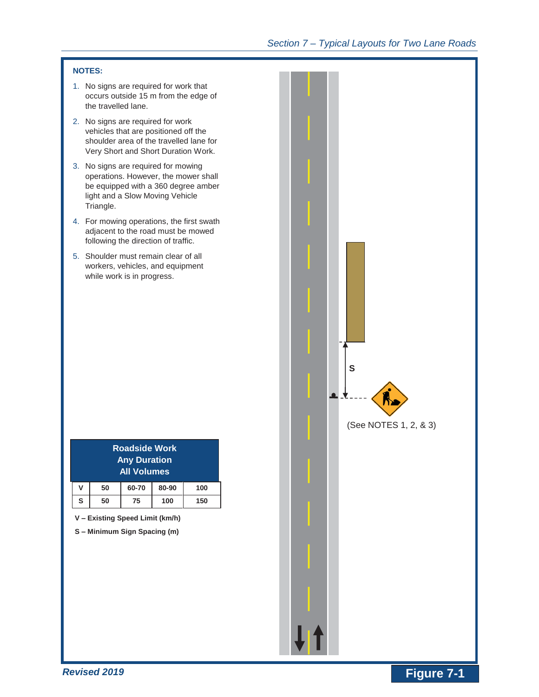#### **NOTES:**

- 1. No signs are required for work that occurs outside 15 m from the edge of the travelled lane.
- 2. No signs are required for work vehicles that are positioned off the shoulder area of the travelled lane for Very Short and Short Duration Work.
- 3. No signs are required for mowing operations. However, the mower shall be equipped with a 360 degree amber light and a Slow Moving Vehicle Triangle.
- 4. For mowing operations, the first swath adjacent to the road must be mowed following the direction of traffic.
- 5. Shoulder must remain clear of all workers, vehicles, and equipment while work is in progress.

|   |    | Roadside Work<br><b>Any Duration</b><br><b>All Volumes</b> |       |     |
|---|----|------------------------------------------------------------|-------|-----|
| v | 50 | 60-70                                                      | 80-90 | 100 |
| S | 50 | 75                                                         | 100   | 150 |

**V – Existing Speed Limit (km/h)** 

**S – Minimum Sign Spacing (m)** 

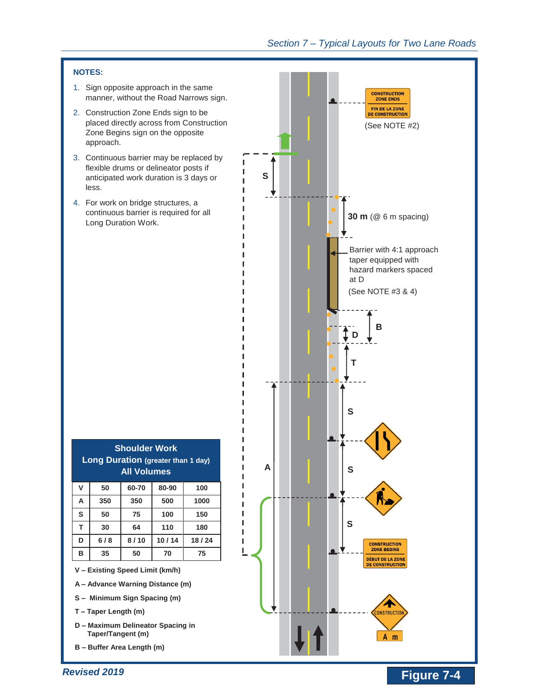

- **S – Minimum Sign Spacing (m)**
- **T – Taper Length (m)**
- **D – Maximum Delineator Spacing in Taper/Tangent (m)**
- **B – Buffer Area Length (m)**

*Revised 2019* 

**NOTES:** 

less.

**ONSTRUCT** 

 $A$  m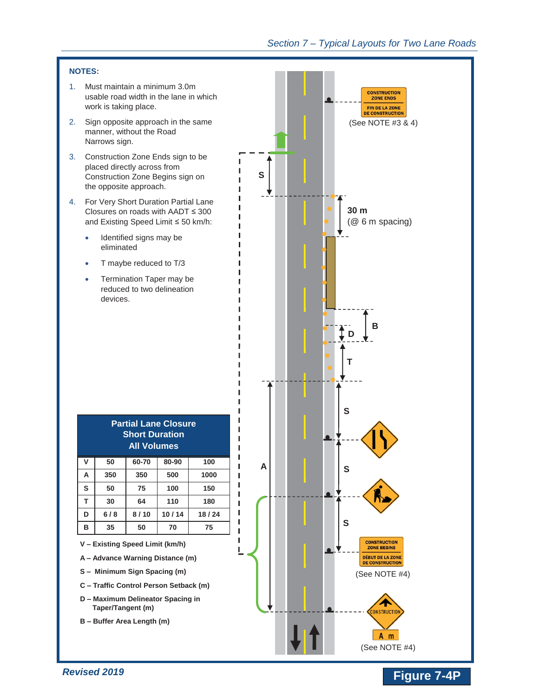**CONSTRUCTION<br>ZONE ENDS** FIN DE LA ZONE **DE CONSTRUCTION** 

#### **NOTES:**

- 1. Must maintain a minimum 3.0m usable road width in the lane in which work is taking place.
- 2. Sign opposite approach in the sam manner, without the Road Narrows sign.
- 3. Construction Zone Ends sign to be placed directly across from Construction Zone Begins sign on the opposite approach.
- 4. For Very Short Duration Partial Lane Closures on roads with  $AADT \leq 30$ and Existing Speed Limit ≤ 50 km/
	- Identified signs may be eliminated
	- T maybe reduced to T/3
	- Termination Taper may be reduced to two delineation devices.

| ne                                                       | (See NOTE #3 & 4)                                                                                                                      |
|----------------------------------------------------------|----------------------------------------------------------------------------------------------------------------------------------------|
| e<br>S                                                   |                                                                                                                                        |
| ne<br>$\overline{0}$<br>h:                               | 30 <sub>m</sub><br>(@ 6 m spacing)                                                                                                     |
|                                                          | B<br>Т                                                                                                                                 |
|                                                          | S                                                                                                                                      |
| $\overline{100}$<br>A<br>000<br>150<br>180<br>3/24<br>75 | S<br>R<br>S                                                                                                                            |
| I<br>n)                                                  | <b>CONSTRUCTION</b><br><b>ZONE BEGINS</b><br><b>DÉBUT DE LA ZONE</b><br><b>DE CONSTRUCTION</b><br>(See NOTE #4)<br><b>CONSTRUCTION</b> |
|                                                          | $\pmb{\downarrow}$  <br>A<br>m<br>(See NOTE #4)                                                                                        |

# **Short Duration All Volumes**   $V$  50 60-70 80-90 A 350 350 500 1 **S 50 75 100 150 T 30 64 110 180 D 6 / 8 8 / 10 10 / 14 18 / 24 B 35 50 70 75**

**Partial Lane Closure** 

- **V – Existing Speed Limit (km/h)**
- **A – Advance Warning Distance (m)**
- **S – Minimum Sign Spacing (m)**
- **C – Traffic Control Person Setback (m)**
- **D – Maximum Delineator Spacing in Taper/Tangent (m)**
- **B – Buffer Area Length (m)**

# **Provised 2019** *Revised 2019 CONSIDERED AT A P <b>Figure 7-4P P Figure 7-4P*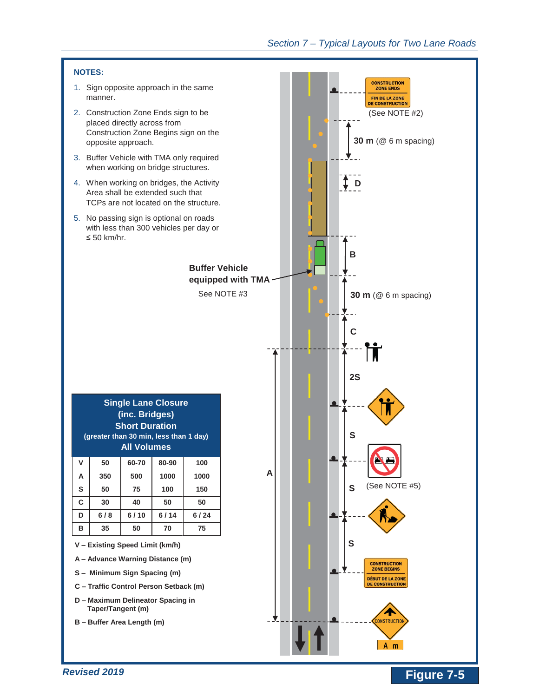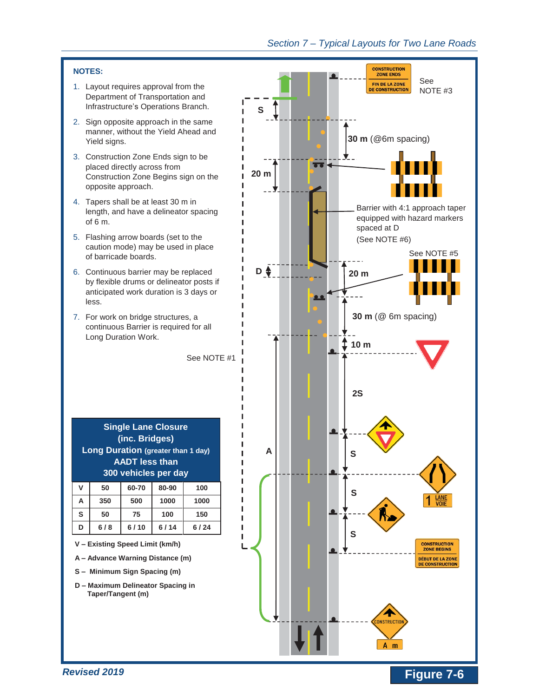#### **NOTES:**

- 1. Layout requires approval from the Department of Transportation and Infrastructure's Operations Branch.
- 2. Sign opposite approach in the same manner, without the Yield Ahead and Yield signs.
- 3. Construction Zone Ends sign to be placed directly across from Construction Zone Begins sign on the opposite approach.
- 4. Tapers shall be at least 30 m in length, and have a delineator spacing of 6 m.
- 5. Flashing arrow boards (set to the caution mode) may be used in place of barricade boards.
- 6. Continuous barrier may be replaced by flexible drums or delineator posts if anticipated work duration is 3 days or less.
- 7. For work on bridge structures, a continuous Barrier is required for all Long Duration Work.

See NOTE #1

| <b>Single Lane Closure</b><br>(inc. Bridges)<br><b>Long Duration (greater than 1 day)</b><br><b>AADT</b> less than<br>300 vehicles per day |     |       |       |      |
|--------------------------------------------------------------------------------------------------------------------------------------------|-----|-------|-------|------|
| V                                                                                                                                          | 50  | 60-70 | 80-90 | 100  |
| А                                                                                                                                          | 350 | 500   | 1000  | 1000 |
| S                                                                                                                                          | 50  | 75    | 100   | 150  |

**D 6 / 8 6 / 10 6 / 14 6 / 24** 

- **V – Existing Speed Limit (km/h)**
- **A – Advance Warning Distance (m)**
- **S – Minimum Sign Spacing (m)**
- **D – Maximum Delineator Spacing in Taper/Tangent (m)**

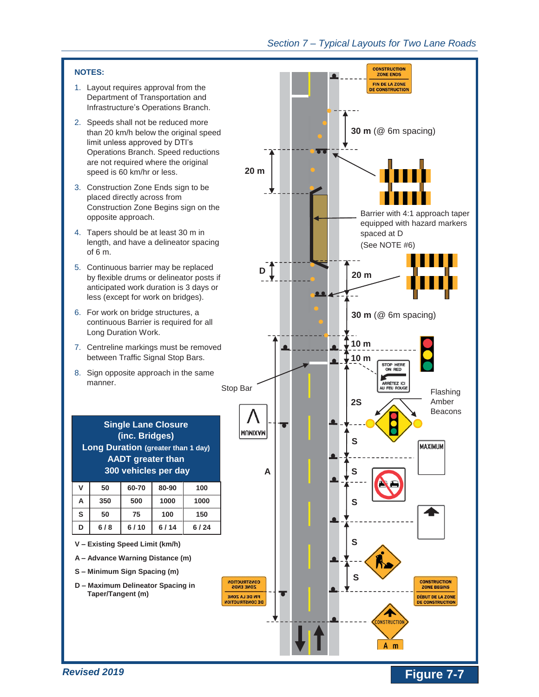#### **NOTES:**

- 1. Layout requires approval from the Department of Transportation and Infrastructure's Operations Branch.
- 2. Speeds shall not be reduced more than 20 km/h below the original speed limit unless approved by DTI's Operations Branch. Speed reductions are not required where the original speed is 60 km/hr or less.
- 3. Construction Zone Ends sign to be placed directly across from Construction Zone Begins sign on the opposite approach.
- 4. Tapers should be at least 30 m in length, and have a delineator spacing of 6 m.
- 5. Continuous barrier may be replaced by flexible drums or delineator posts if anticipated work duration is 3 days or less (except for work on bridges).
- 6. For work on bridge structures, a continuous Barrier is required for all Long Duration Work.
- 7. Centreline markings must be removed between Traffic Signal Stop Bars.
- 8. Sign opposite approach in the same manner.

|                         |     | <b>Single Lane Closure</b><br>(inc. Bridges)<br><b>Long Duration (greater than 1 day)</b><br><b>AADT</b> greater than<br>300 vehicles per day |       |      |
|-------------------------|-----|-----------------------------------------------------------------------------------------------------------------------------------------------|-------|------|
| V                       | 50  | 60-70                                                                                                                                         | 80-90 | 100  |
| 1000<br>A<br>350<br>500 |     | 1000                                                                                                                                          |       |      |
| S                       | 50  | 75                                                                                                                                            | 100   | 150  |
|                         | 6/8 | 6/10                                                                                                                                          | 6/14  | 6/24 |

- **V – Existing Speed Limit (km/h)**
- **A – Advance Warning Distance (m)**
- **S – Minimum Sign Spacing (m)**
- **D – Maximum Delineator Spacing in Taper/Tangent (m)**

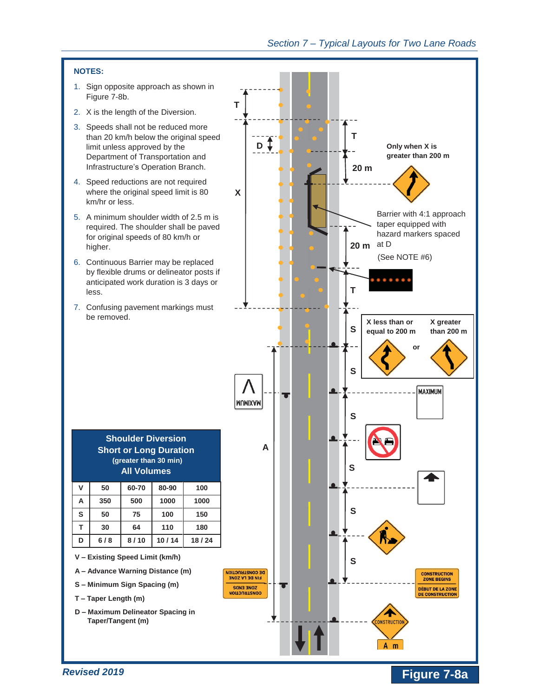

## *Revised 2019*

# **Figure 7-8a**

 $A$  m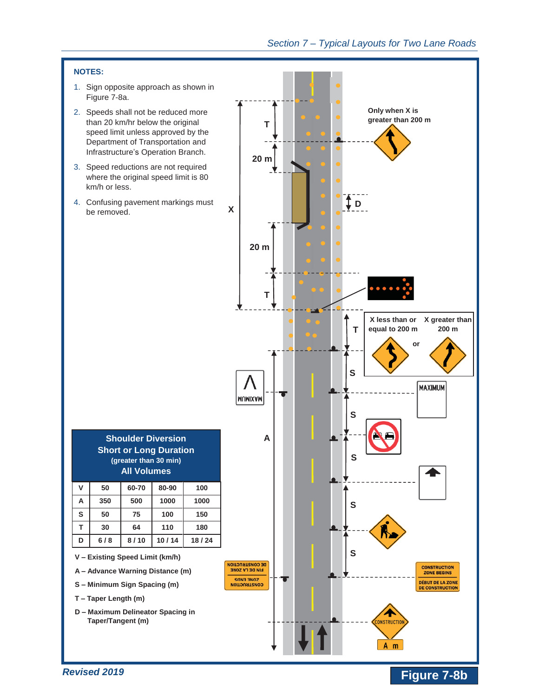#### **NOTES:**

- 1. Sign opposite approach as shown in Figure 7-8a.
- 2. Speeds shall not be reduced more than 20 km/hr below the original speed limit unless approved by the Department of Transportation and Infrastructure's Operation Branch.
- 3. Speed reductions are not required where the original speed limit is 80 km/h or less.
- 4. Confusing pavement markings must be removed.

| T<br>20 <sub>m</sub><br>$\pmb{\mathsf{X}}$<br>20 <sub>m</sub>                       | Only when X is<br>greater than 200 m<br>Ţр                                                                                                |
|-------------------------------------------------------------------------------------|-------------------------------------------------------------------------------------------------------------------------------------------|
| Т<br><b>MUMIXAM</b><br>A                                                            | <br>X greater than<br>X less than or<br>equal to 200 m<br>200 m<br>Τ<br>or<br>S<br><b>MAXIMUM</b><br>S<br>১                               |
| DE CONSTRUCTION<br><b>FIN DE LA ZONE</b><br><b>ZONE ENDS</b><br><b>CONSTRUCTION</b> | S<br>S<br><b>CONSTRUCTION</b><br><b>ZONE BEGINS</b><br><b>DÉBUT DE LA ZONE</b><br><b>DE CONSTRUCTION</b><br><b>CONSTRUCTION</b><br>A<br>m |

**Figure 7-8b** 

| <b>Shoulder Diversion</b>     |
|-------------------------------|
| <b>Short or Long Duration</b> |
| (greater than 30 min)         |
| <b>All Volumes</b>            |
|                               |

| ۷ | 50  | 60-70 | 80-90 | 100   |
|---|-----|-------|-------|-------|
| A | 350 | 500   | 1000  | 1000  |
| S | 50  | 75    | 100   | 150   |
| т | 30  | 64    | 110   | 180   |
| D | 6/8 | 8/10  | 10/14 | 18/24 |

- **V – Existing Speed Limit (km/h)**
- **A – Advance Warning Distance (m)**
- **S – Minimum Sign Spacing (m)**
- **T – Taper Length (m)**
- **D – Maximum Delineator Spacing in Taper/Tangent (m)**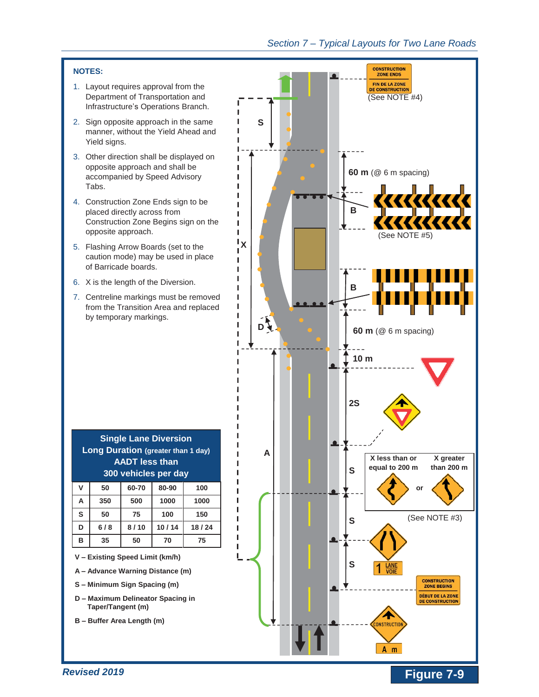### **NOTES:**

- 1. Layout requires approval from the Department of Transportation and Infrastructure's Operations Branch.
- 2. Sign opposite approach in the same manner, without the Yield Ahead and Yield signs.
- 3. Other direction shall be displayed on opposite approach and shall be accompanied by Speed Advisory Tabs.

I I T I п п f. I

I Ī. L т L L L L L L  $\blacksquare$ П

ı

ı

- 4. Construction Zone Ends sign to be placed directly across from Construction Zone Begins sign on the opposite approach.
- 5. Flashing Arrow Boards (set to the caution mode) may be used in place of Barricade boards.
- 6. X is the length of the Diversion.
- 7. Centreline markings must be removed from the Transition Area and replaced by temporary markings.

| ۷ | 50  | 60-70 | 80-90 | 100   |
|---|-----|-------|-------|-------|
| Α | 350 | 500   | 1000  | 1000  |
| S | 50  | 75    | 100   | 150   |
| D | 6/8 | 8/10  | 10/14 | 18/24 |
| в | 35  | 50    | 70    | 75    |

- **V – Existing Speed Limit (km/h)**
- **A – Advance Warning Distance (m)**
- **S – Minimum Sign Spacing (m)**
- **D – Maximum Delineator Spacing in Taper/Tangent (m)**
- **B – Buffer Area Length (m)**

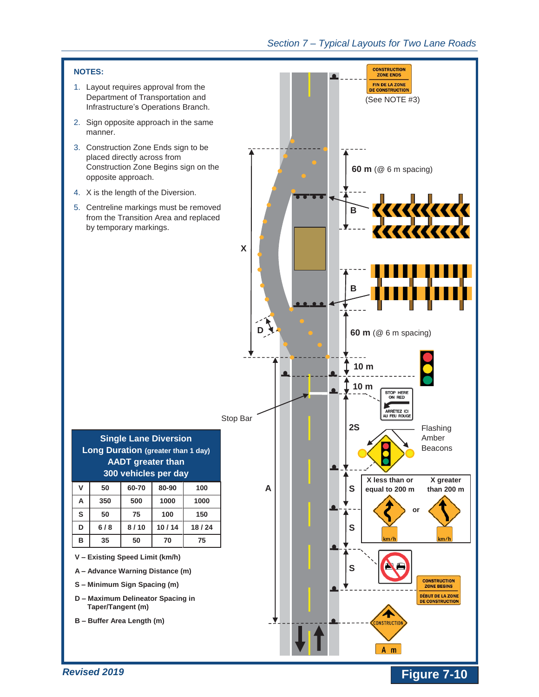



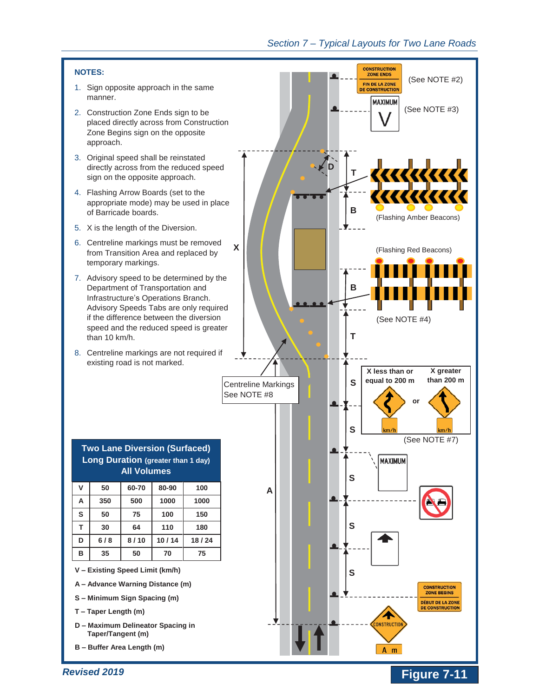#### **NOTES:**

- 1. Sign opposite approach in the same manner.
- 2. Construction Zone Ends sign to be placed directly across from Construction Zone Begins sign on the opposite approach.
- 3. Original speed shall be reinstated directly across from the reduced speed sign on the opposite approach.
- 4. Flashing Arrow Boards (set to the appropriate mode) may be used in place of Barricade boards.
- 5. X is the length of the Diversion.
- 6. Centreline markings must be removed from Transition Area and replaced by temporary markings.

**X** 

- 7. Advisory speed to be determined by the Department of Transportation and Infrastructure's Operations Branch. Advisory Speeds Tabs are only required if the difference between the diversion speed and the reduced speed is greater than 10 km/h.
- 8. Centreline markings are not required if existing road is not marked.

| <b>Two Lane Diversion (Surfaced)</b><br><b>Long Duration (greater than 1 day)</b><br><b>All Volumes</b> |     |       |       |       |  |  |
|---------------------------------------------------------------------------------------------------------|-----|-------|-------|-------|--|--|
| V                                                                                                       | 50  | 60-70 | 80-90 | 100   |  |  |
| A                                                                                                       | 350 | 500   | 1000  | 1000  |  |  |
| S                                                                                                       | 50  | 75    | 100   | 150   |  |  |
| T                                                                                                       | 30  | 64    | 110   | 180   |  |  |
| D                                                                                                       | 6/8 | 8/10  | 10/14 | 18/24 |  |  |
| B                                                                                                       | 35  | 50    | 70    | 75    |  |  |

- **A – Advance Warning Distance (m)**
- **S – Minimum Sign Spacing (m)**
- **T – Taper Length (m)**
- **D – Maximum Delineator Spacing in Taper/Tangent (m)**
- **B – Buffer Area Length (m)**



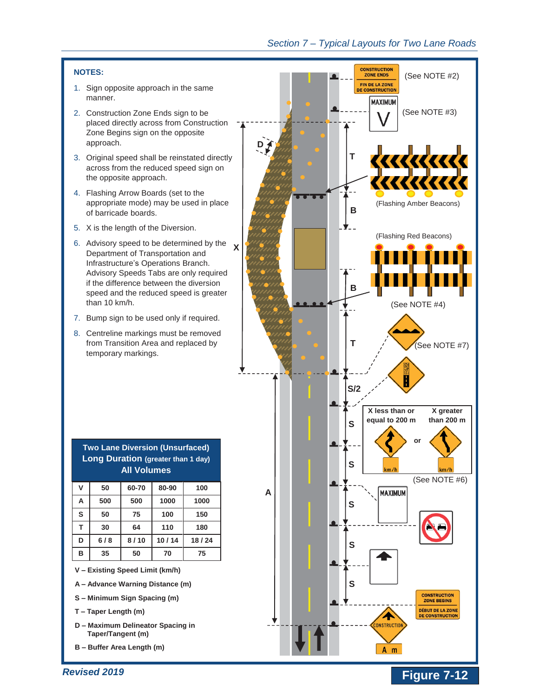#### **NOTES:**

- 1. Sign opposite approach in the same manner.
- 2. Construction Zone Ends sign to be placed directly across from Construction Zone Begins sign on the opposite approach.
- 3. Original speed shall be reinstated directly across from the reduced speed sign on the opposite approach.
- 4. Flashing Arrow Boards (set to the appropriate mode) may be used in place of barricade boards.
- 5. X is the length of the Diversion.
- 6. Advisory speed to be determined by the Department of Transportation and Infrastructure's Operations Branch. Advisory Speeds Tabs are only required if the difference between the diversion speed and the reduced speed is greater than 10 km/h. **X**
- 7. Bump sign to be used only if required.
- 8. Centreline markings must be removed from Transition Area and replaced by temporary markings.

| <b>Long Duration (greater than 1 day)</b><br><b>All Volumes</b> |     |       |       |       |  |  |
|-----------------------------------------------------------------|-----|-------|-------|-------|--|--|
| v                                                               | 50  | 60-70 | 80-90 | 100   |  |  |
| A                                                               | 500 | 500   | 1000  | 1000  |  |  |
| S                                                               | 50  | 75    | 100   | 150   |  |  |
| T                                                               | 30  | 64    | 110   | 180   |  |  |
| D                                                               | 6/8 | 8/10  | 10/14 | 18/24 |  |  |
| в                                                               | 35  | 50    | 70    | 75    |  |  |

**Two Lane Diversion (Unsurfaced)** 

- **A – Advance Warning Distance (m)**
- **S – Minimum Sign Spacing (m)**
- **T – Taper Length (m)**
- **D – Maximum Delineator Spacing in Taper/Tangent (m)**
- **B – Buffer Area Length (m)**

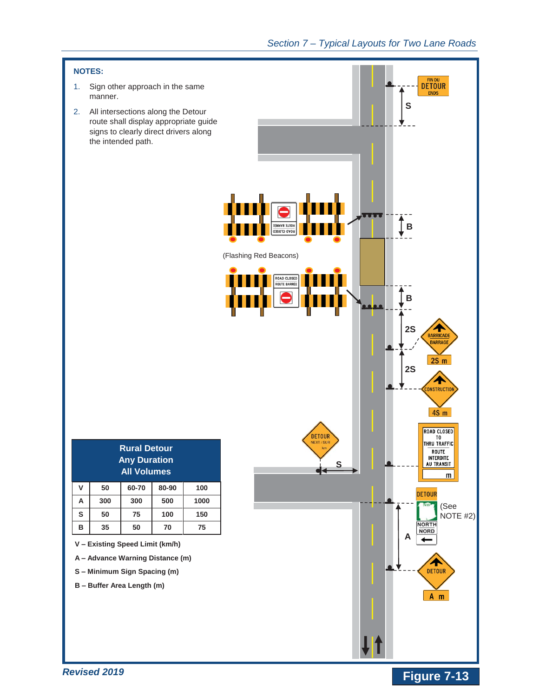

*Revised 2019*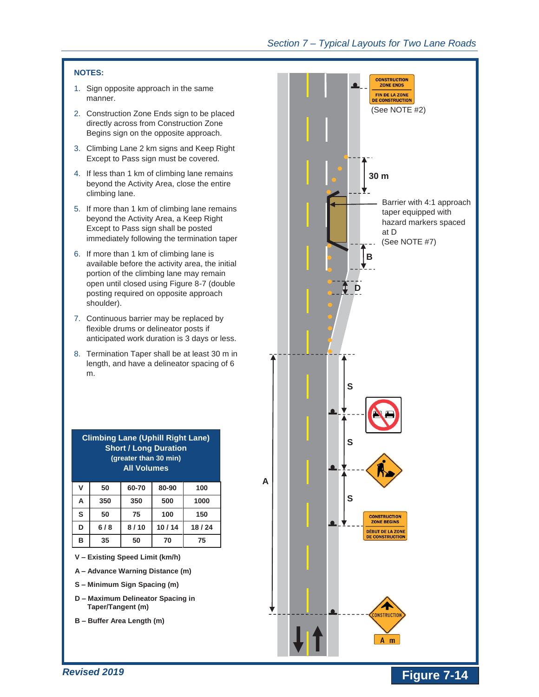### **NOTES:**

- 1. Sign opposite approach in the same manner.
- 2. Construction Zone Ends sign to be placed directly across from Construction Zone Begins sign on the opposite approach.
- 3. Climbing Lane 2 km signs and Keep Right Except to Pass sign must be covered.
- 4. If less than 1 km of climbing lane remains beyond the Activity Area, close the entire climbing lane.
- 5. If more than 1 km of climbing lane remains beyond the Activity Area, a Keep Right Except to Pass sign shall be posted immediately following the termination taper
- 6. If more than 1 km of climbing lane is available before the activity area, the initial portion of the climbing lane may remain open until closed using Figure 8-7 (double posting required on opposite approach shoulder).
- 7. Continuous barrier may be replaced by flexible drums or delineator posts if anticipated work duration is 3 days or less.
- 8. Termination Taper shall be at least 30 m in length, and have a delineator spacing of 6 m.

| <b>Short / Long Duration</b><br>(greater than 30 min)<br><b>All Volumes</b> |     |       |       |       |  |  |
|-----------------------------------------------------------------------------|-----|-------|-------|-------|--|--|
| V                                                                           | 50  | 60-70 | 80-90 | 100   |  |  |
| A                                                                           | 350 | 350   | 500   | 1000  |  |  |
| S                                                                           | 50  | 75    | 100   | 150   |  |  |
| D                                                                           | 6/8 | 8/10  | 10/14 | 18/24 |  |  |
| в                                                                           | 35  | 50    | 70    | 75    |  |  |

**Climbing Lane (Uphill Right Lane)** 

- **V – Existing Speed Limit (km/h)**
- **A – Advance Warning Distance (m)**
- **S – Minimum Sign Spacing (m)**
- **D – Maximum Delineator Spacing in Taper/Tangent (m)**
- **B – Buffer Area Length (m)**

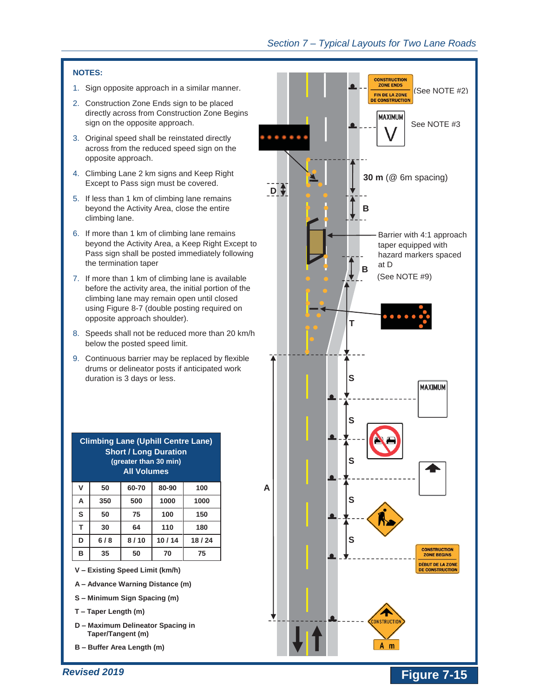#### **NOTES:**

- 1. Sign opposite approach in a similar manner.
- 2. Construction Zone Ends sign to be placed directly across from Construction Zone Begins sign on the opposite approach.
- 3. Original speed shall be reinstated directly across from the reduced speed sign on the opposite approach.
- 4. Climbing Lane 2 km signs and Keep Right Except to Pass sign must be covered.
- 5. If less than 1 km of climbing lane remains beyond the Activity Area, close the entire climbing lane.
- 6. If more than 1 km of climbing lane remains beyond the Activity Area, a Keep Right Except to Pass sign shall be posted immediately following the termination taper
- 7. If more than 1 km of climbing lane is available before the activity area, the initial portion of the climbing lane may remain open until closed using Figure 8-7 (double posting required on opposite approach shoulder).
- 8. Speeds shall not be reduced more than 20 km/h below the posted speed limit.
- 9. Continuous barrier may be replaced by flexible drums or delineator posts if anticipated work duration is 3 days or less.

| <b>Short / Long Duration</b><br>(greater than 30 min)<br><b>All Volumes</b> |     |       |       |       |  |  |
|-----------------------------------------------------------------------------|-----|-------|-------|-------|--|--|
| V                                                                           | 50  | 60-70 | 80-90 | 100   |  |  |
| A                                                                           | 350 | 500   | 1000  | 1000  |  |  |
| S                                                                           | 50  | 75    | 100   | 150   |  |  |
| T                                                                           | 30  | 64    | 110   | 180   |  |  |
| D                                                                           | 6/8 | 8/10  | 10/14 | 18/24 |  |  |
| в                                                                           | 35  | 50    | 70    | 75    |  |  |

**Climbing Lane (Uphill Centre Lane)** 

**V – Existing Speed Limit (km/h)** 

- **A – Advance Warning Distance (m)**
- **S – Minimum Sign Spacing (m)**
- **T – Taper Length (m)**
- **D – Maximum Delineator Spacing in Taper/Tangent (m)**
- **B – Buffer Area Length (m)**

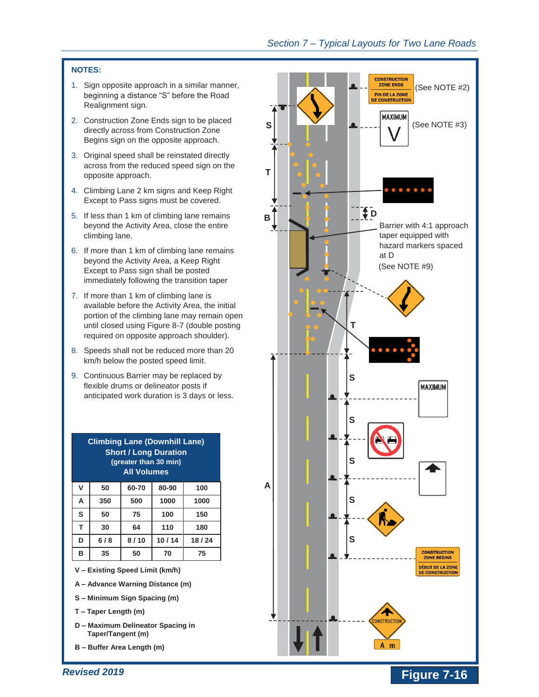#### **NOTES:**

- 1. Sign opposite approach in a similar manner, beginning a distance "S" before the Road Realignment sign.
- 2. Construction Zone Ends sign to be placed directly across from Construction Zone Begins sign on the opposite approach.
- 3. Original speed shall be reinstated directly across from the reduced speed sign on the opposite approach.
- 4. Climbing Lane 2 km signs and Keep Right Except to Pass signs must be covered.
- 5. If less than 1 km of climbing lane remains beyond the Activity Area, close the entire climbing lane.
- 6. If more than 1 km of climbing lane remains beyond the Activity Area, a Keep Right Except to Pass sign shall be posted immediately following the transition taper
- 7. If more than 1 km of climbing lane is available before the Activity Area, the initial portion of the climbing lane may remain open until closed using Figure 8-7 (double posting required on opposite approach shoulder).
- 8. Speeds shall not be reduced more than 20 km/h below the posted speed limit.
- 9. Continuous Barrier may be replaced by flexible drums or delineator posts if anticipated work duration is 3 days or less.

| <b>Climbing Lane (Downhill Lane)</b><br><b>Short / Long Duration</b><br>(greater than 30 min)<br><b>All Volumes</b> |     |       |       |      |  |  |  |
|---------------------------------------------------------------------------------------------------------------------|-----|-------|-------|------|--|--|--|
| $\mathsf{v}$                                                                                                        | 50  | 60-70 | 80-90 | 100  |  |  |  |
| A                                                                                                                   | 350 | 500   | 1000  | 1000 |  |  |  |
| S                                                                                                                   | 50  | 75    | 100   | 150  |  |  |  |
|                                                                                                                     |     |       |       |      |  |  |  |

| S | 50  | 75   | 100   | 150   |
|---|-----|------|-------|-------|
|   | 30  | 64   | 110   | 180   |
| D | 6/8 | 8/10 | 10/14 | 18/24 |
| в | 35  | 50   | 70    | 75    |

- **A – Advance Warning Distance (m)**
- **S – Minimum Sign Spacing (m)**
- **T – Taper Length (m)**
- **D – Maximum Delineator Spacing in Taper/Tangent (m)**
- **B – Buffer Area Length (m)**

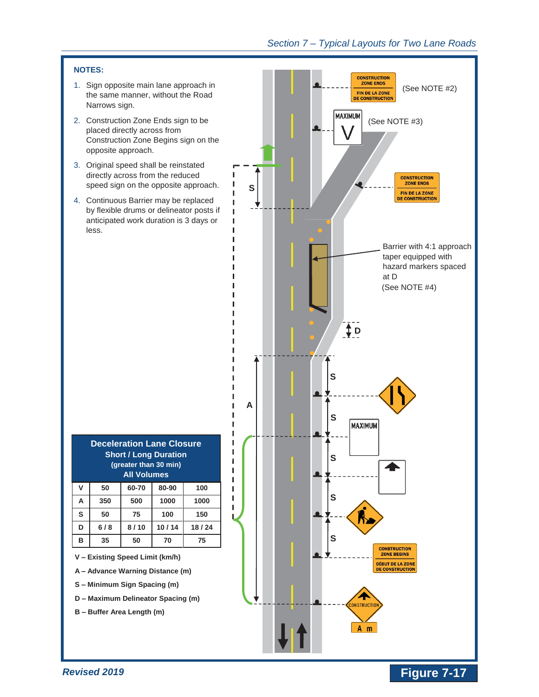#### **NOTES:**

- 1. Sign opposite main lane approach in the same manner, without the Road Narrows sign.
- 2. Construction Zone Ends sign to be placed directly across from Construction Zone Begins sign on the opposite approach.
- 3. Original speed shall be reinstated directly across from the reduced speed sign on the opposite approach.
- 4. Continuous Barrier may be replaced by flexible drums or delineator posts if anticipated work duration is 3 days or less.

| <b>Deceleration Lane Closure</b><br><b>Short / Long Duration</b><br>(greater than 30 min)<br><b>All Volumes</b> |     |       |       |       |  |  |  |
|-----------------------------------------------------------------------------------------------------------------|-----|-------|-------|-------|--|--|--|
| V                                                                                                               | 50  | 60-70 | 80-90 | 100   |  |  |  |
| A                                                                                                               | 350 | 500   | 1000  | 1000  |  |  |  |
| S                                                                                                               | 50  | 75    | 100   | 150   |  |  |  |
| D                                                                                                               | 6/8 | 8/10  | 10/14 | 18/24 |  |  |  |
| в                                                                                                               | 35  | 50    | 70    | 75    |  |  |  |

ı ı ı ı ı

ı ı ı п Г Г Г Г

**V – Existing Speed Limit (km/h)** 

**A – Advance Warning Distance (m)** 

- **S – Minimum Sign Spacing (m)**
- **D – Maximum Delineator Spacing (m)**
- **B – Buffer Area Length (m)**

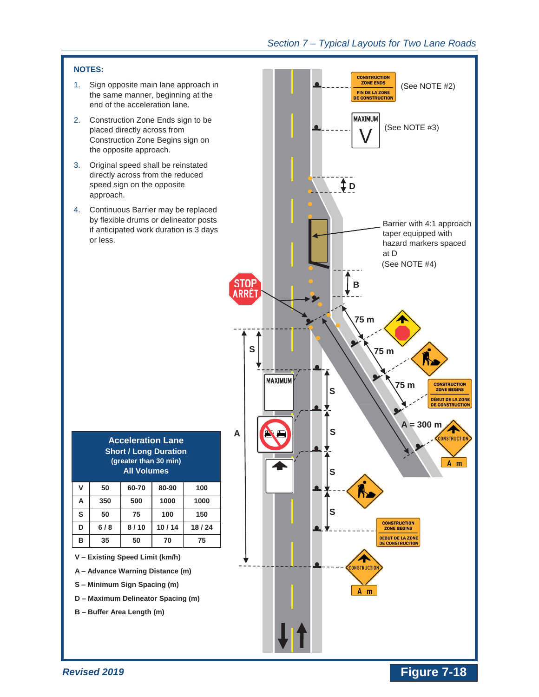

*Revised 2019*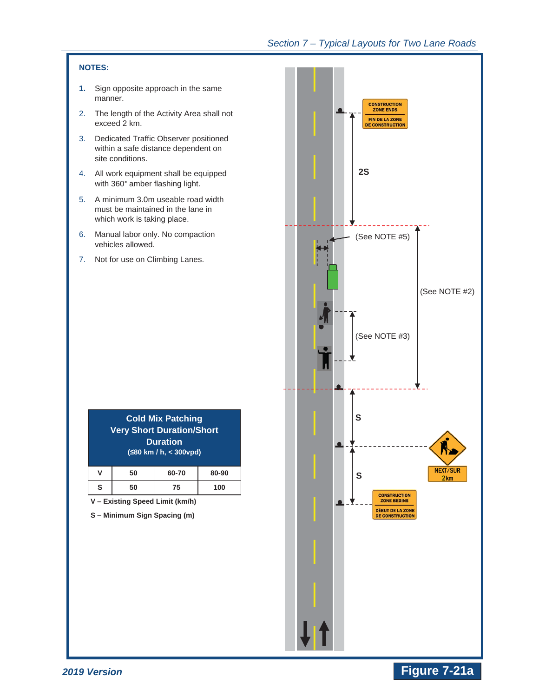#### **NOTES:**

- **1.** Sign opposite approach in the same manner.
- 2. The length of the Activity Area shall not exceed 2 km.
- 3. Dedicated Traffic Observer positioned within a safe distance dependent on site conditions.
- 4. All work equipment shall be equipped with 360° amber flashing light.
- 5. A minimum 3.0m useable road width must be maintained in the lane in which work is taking place.
- 6. Manual labor only. No compaction vehicles allowed.
- 7. Not for use on Climbing Lanes.

|   |    | <b>Cold Mix Patching</b><br><b>Very Short Duration/Short</b><br><b>Duration</b><br>$(580 \text{ km } 1)$ h, $<$ 300 vpd) |       |
|---|----|--------------------------------------------------------------------------------------------------------------------------|-------|
| v | 50 | 60-70                                                                                                                    | 80-90 |
|   |    | 75                                                                                                                       |       |

**V – Existing Speed Limit (km/h)** 

**S – Minimum Sign Spacing (m)** 



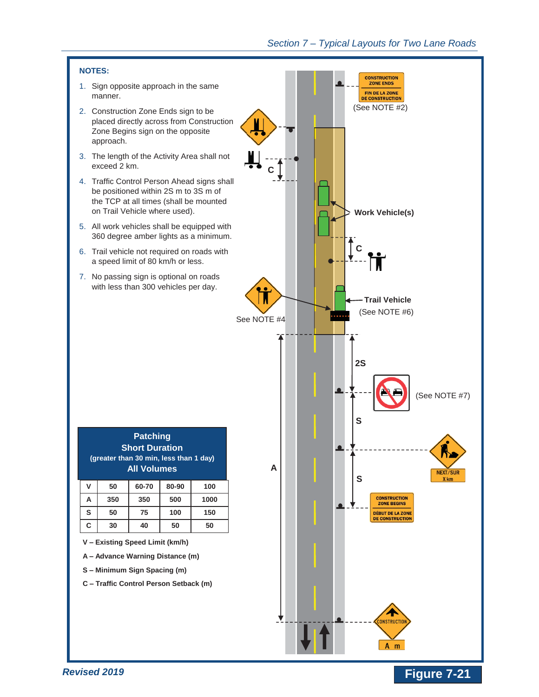

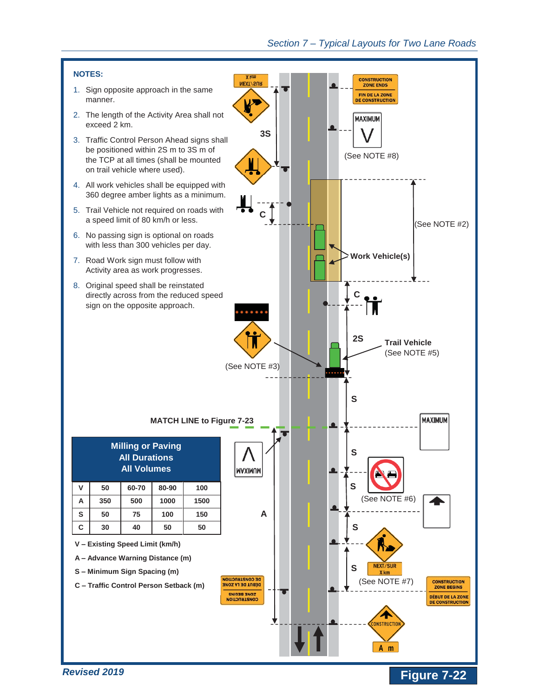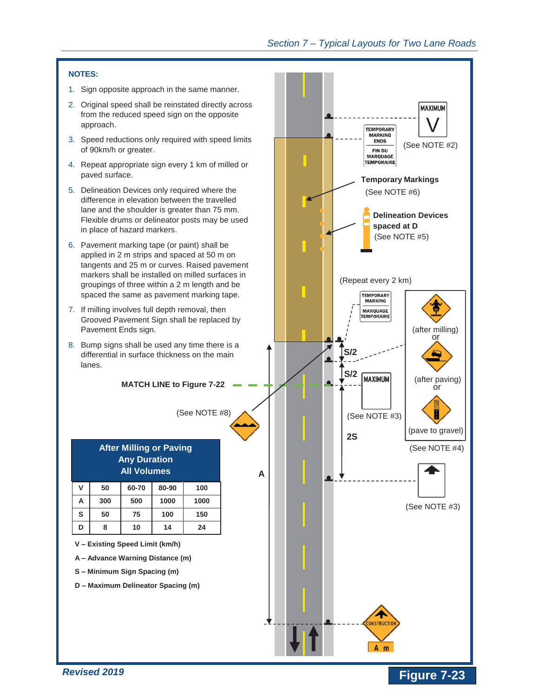#### **NOTES:**

- 1. Sign opposite approach in the same manner.
- 2. Original speed shall be reinstated directly across from the reduced speed sign on the opposite approach.
- 3. Speed reductions only required with speed limits of 90km/h or greater.
- 4. Repeat appropriate sign every 1 km of milled or paved surface.
- 5. Delineation Devices only required where the difference in elevation between the travelled lane and the shoulder is greater than 75 mm. Flexible drums or delineator posts may be used in place of hazard markers.
- 6. Pavement marking tape (or paint) shall be applied in 2 m strips and spaced at 50 m on tangents and 25 m or curves. Raised pavement markers shall be installed on milled surfaces in groupings of three within a 2 m length and be spaced the same as pavement marking tape.
- 7. If milling involves full depth removal, then Grooved Pavement Sign shall be replaced by Pavement Ends sign.
- 8. Bump signs shall be used any time there is a differential in surface thickness on the main lanes.

**MATCH LINE to Figure 7-22** 

(See NOTE #8)

| <b>After Milling or Paving</b><br><b>Any Duration</b><br><b>All Volumes</b> |     |       |       |      |  |
|-----------------------------------------------------------------------------|-----|-------|-------|------|--|
| V                                                                           | 50  | 60-70 | 80-90 | 100  |  |
| A                                                                           | 300 | 500   | 1000  | 1000 |  |
| S                                                                           | 50  | 75    | 100   | 150  |  |
|                                                                             | 8   | 10    | 14    | 24   |  |

**V – Existing Speed Limit (km/h)** 

**A – Advance Warning Distance (m)** 

**S – Minimum Sign Spacing (m)** 

**D – Maximum Delineator Spacing (m)** 

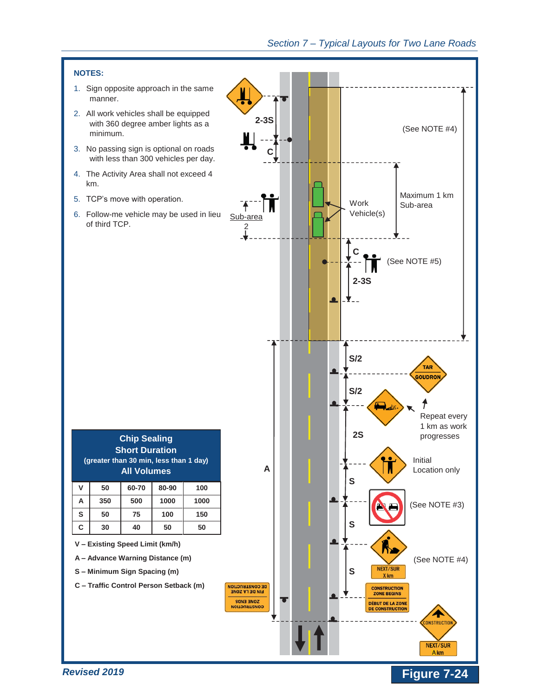

- 1. Sign opposite approach in the same manner.
- 2. All work vehicles shall be equipped with 360 degree amber lights as a minimum.
- 3. No passing sign is optional on roads with less than 300 vehicles per day.
- 4. The Activity Area shall not exceed 4 km.
- 5. TCP's move with operation.
- 6. Follow-me vehicle may be used in lieu of third TCP.

| $2-3S$                                                                              |                                                                                                                                | (See NOTE #4)<br>Maximum 1 km                                          |
|-------------------------------------------------------------------------------------|--------------------------------------------------------------------------------------------------------------------------------|------------------------------------------------------------------------|
| $\mathbf{F}$<br>Sub-area<br>$\frac{2}{1}$                                           | Work<br>Vehicle(s)<br>Ć<br>$2-3S$                                                                                              | Sub-area<br>(See NOTE #5)                                              |
|                                                                                     | S/2<br>S/2<br>ΔY.<br>2S                                                                                                        | <b>TAR</b><br>GOUDRON<br>Repeat every<br>1 km as work<br>progresses    |
| A                                                                                   | ΙM<br>S<br>S                                                                                                                   | Initial<br>Location only<br>(See NOTE #3)                              |
| <b>DE CONSTRUCTION</b><br>FIN DE LA ZONE<br><b>NONE ENDS</b><br><b>CONSTRUCTION</b> | <b>NEXT/SUR</b><br>S<br>X km<br><b>CONSTRUCTION</b><br><b>ZONE BEGINS</b><br><b>DÉBUT DE LA ZONE</b><br><b>DE CONSTRUCTION</b> | (See NOTE #4)<br><b>CONSTRUCTION</b><br><b>NEXT/SUR</b><br><b>A</b> km |

**Figure 7-24** 



**A – Advance Warning Distance (m)** 

**S – Minimum Sign Spacing (m)** 

**C – Traffic Control Person Setback (m)**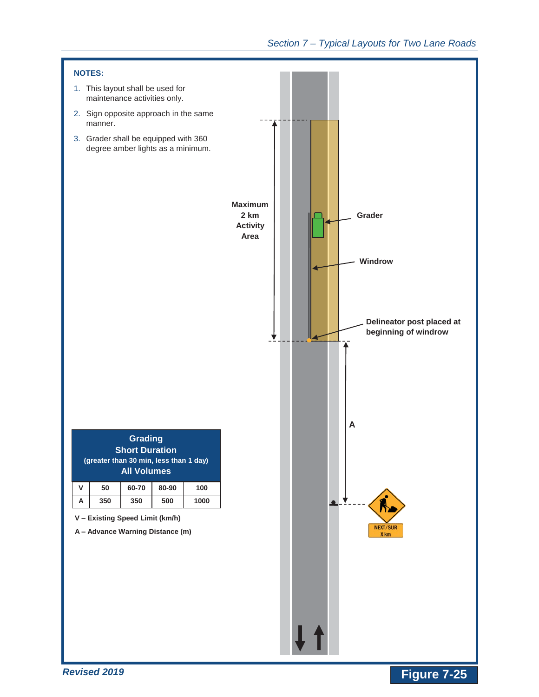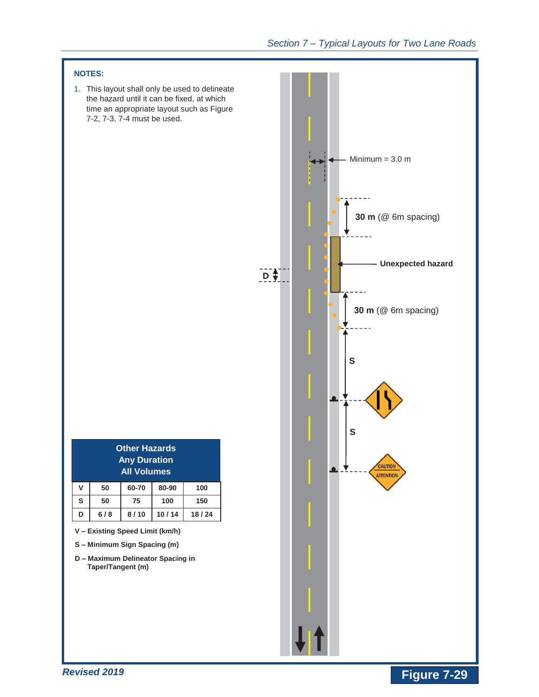

*Revised 2019* 

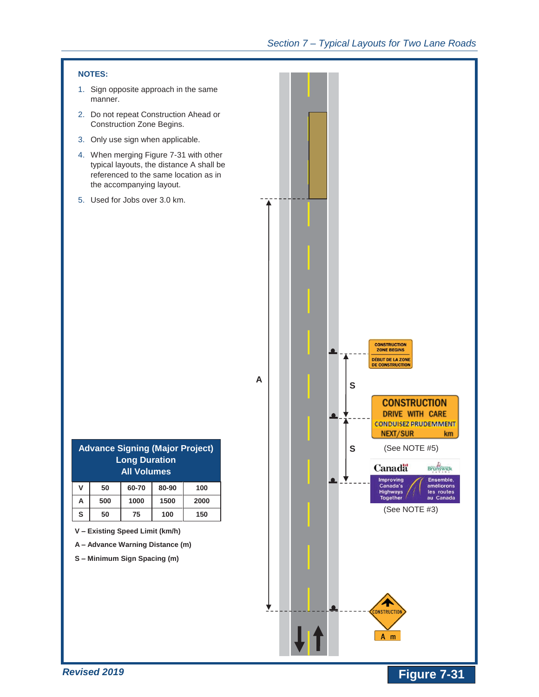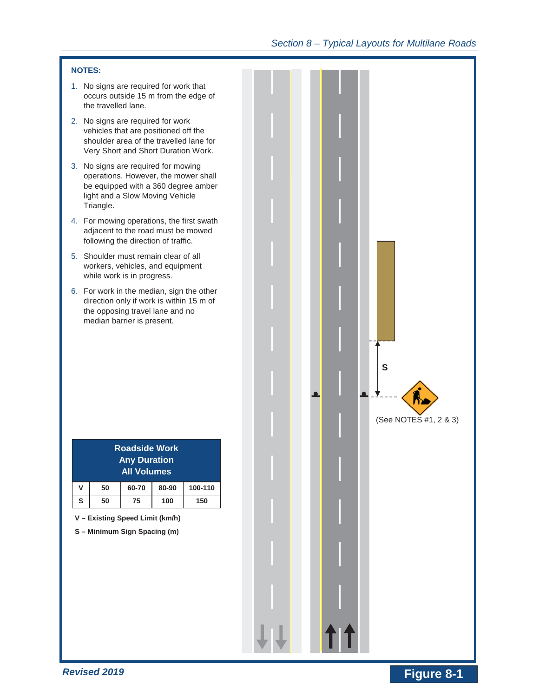#### **NOTES:**

- 1. No signs are required for work that occurs outside 15 m from the edge of the travelled lane.
- 2. No signs are required for work vehicles that are positioned off the shoulder area of the travelled lane for Very Short and Short Duration Work.
- 3. No signs are required for mowing operations. However, the mower shall be equipped with a 360 degree amber light and a Slow Moving Vehicle Triangle.
- 4. For mowing operations, the first swath adjacent to the road must be mowed following the direction of traffic.
- 5. Shoulder must remain clear of all workers, vehicles, and equipment while work is in progress.
- 6. For work in the median, sign the other direction only if work is within 15 m of the opposing travel lane and no median barrier is present.

|                         |    | S                           |  |
|-------------------------|----|-----------------------------|--|
| n                       | п  | Ñ,<br>(See NOTES #1, 2 & 3) |  |
| $\overline{\mathsf{L}}$ | 11 |                             |  |

|   |    | <b>Roadside Work</b><br><b>Any Duration</b><br><b>All Volumes</b> |       |         |
|---|----|-------------------------------------------------------------------|-------|---------|
| v | 50 | 60-70                                                             | 80-90 | 100-110 |

**S 50 75 100 150** 

**V – Existing Speed Limit (km/h)** 

**S – Minimum Sign Spacing (m)**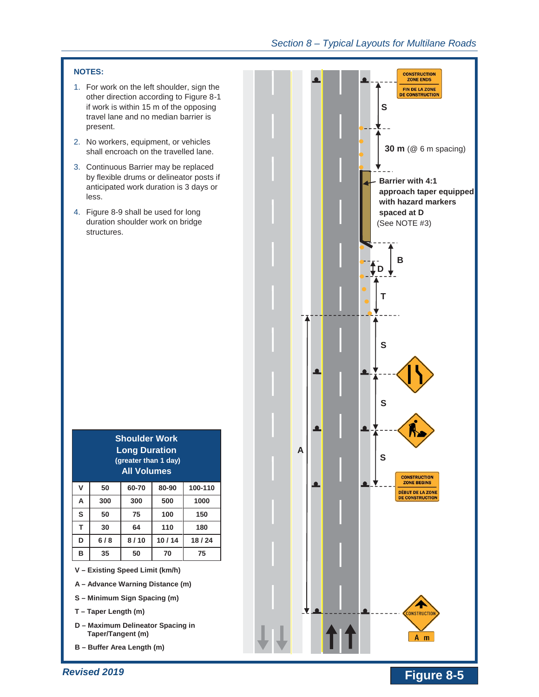#### **NOTES:**

- 1. For work on the left shoulder, sign the other direction according to Figure 8-1 if work is within 15 m of the opposing travel lane and no median barrier is present.
- 2. No workers, equipment, or vehicles shall encroach on the travelled lane.
- 3. Continuous Barrier may be replaced by flexible drums or delineator posts if anticipated work duration is 3 days or less.
- 4. Figure 8-9 shall be used for long duration shoulder work on bridge structures.

| <b>Long Duration</b><br>(greater than 1 day)<br><b>All Volumes</b> |     |       |       |         |
|--------------------------------------------------------------------|-----|-------|-------|---------|
| V                                                                  | 50  | 60-70 | 80-90 | 100-110 |
| A                                                                  | 300 | 300   | 500   | 1000    |
| S                                                                  | 50  | 75    | 100   | 150     |
| т                                                                  | 30  | 64    | 110   | 180     |
| D                                                                  | 6/8 | 8/10  | 10/14 | 18/24   |
| в                                                                  | 35  | 50    | 70    | 75      |

**Shoulder Work** 

**V – Existing Speed Limit (km/h)** 

- **A – Advance Warning Distance (m)**
- **S – Minimum Sign Spacing (m)**
- **T – Taper Length (m)**
- **D – Maximum Delineator Spacing in Taper/Tangent (m)**
- **B – Buffer Area Length (m)**



# **Provised 2019** *Revised 2019 CONSIDERED <b>PROVISION Figure 8-5*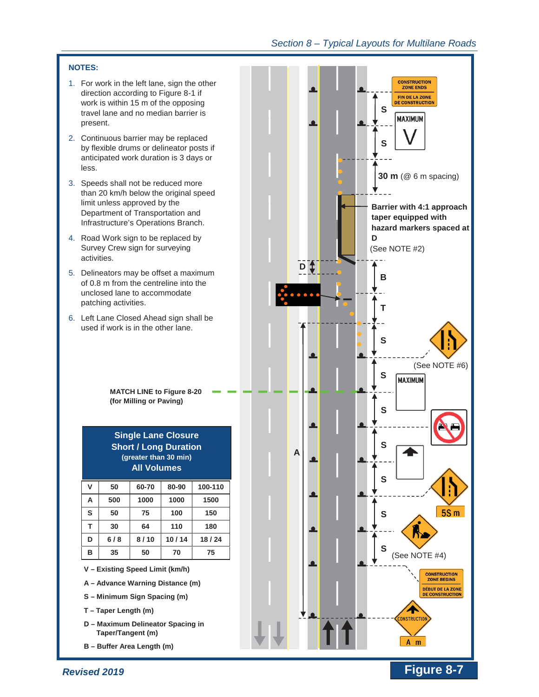#### **NOTES:**

- 1. For work in the left lane, sign the other direction according to Figure 8-1 if work is within 15 m of the opposing travel lane and no median barrier is present.
- 2. Continuous barrier may be replaced by flexible drums or delineator posts if anticipated work duration is 3 days or less.
- 3. Speeds shall not be reduced more than 20 km/h below the original speed limit unless approved by the Department of Transportation and Infrastructure's Operations Branch.
- 4. Road Work sign to be replaced by Survey Crew sign for surveying activities.
- 5. Delineators may be offset a maximum of 0.8 m from the centreline into the unclosed lane to accommodate patching activities.
- 6. Left Lane Closed Ahead sign shall be used if work is in the other lane.

**MATCH LINE to Figure 8-20 (for Milling or Paving)** 

## **Single Lane Closure Short / Long Duration (greater than 30 min) All Volumes**

| v | 50  | 60-70 | 80-90 | 100-110 |
|---|-----|-------|-------|---------|
| А | 500 | 1000  | 1000  | 1500    |
| S | 50  | 75    | 100   | 150     |
| т | 30  | 64    | 110   | 180     |
| D | 6/8 | 8/10  | 10/14 | 18/24   |
| в | 35  | 50    | 70    | 75      |

- **A – Advance Warning Distance (m)**
- **S – Minimum Sign Spacing (m)**
- **T – Taper Length (m)**
- **D – Maximum Delineator Spacing in Taper/Tangent (m)**
- **B – Buffer Area Length (m)**



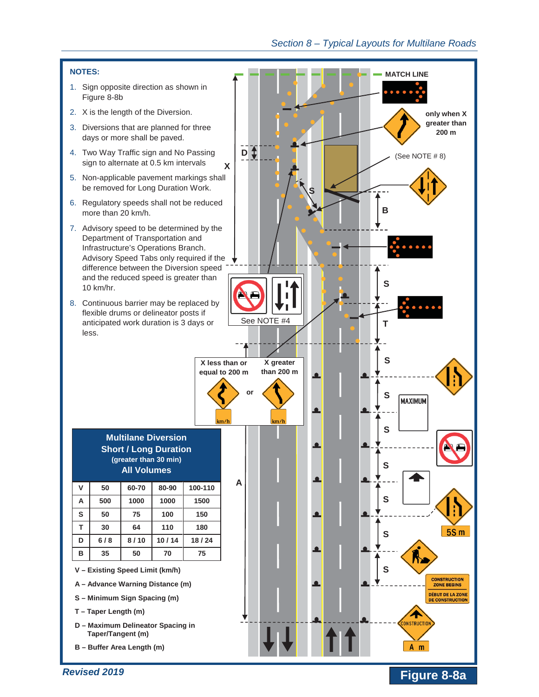

# **Figure 8-8a**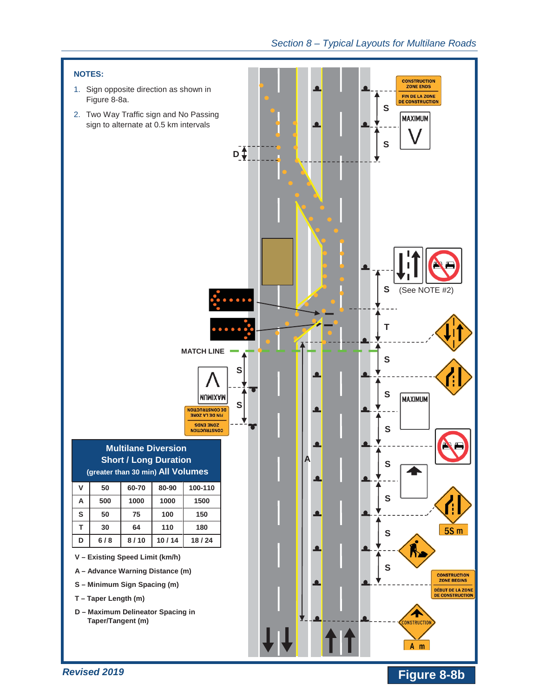

# **Figure 8-8b**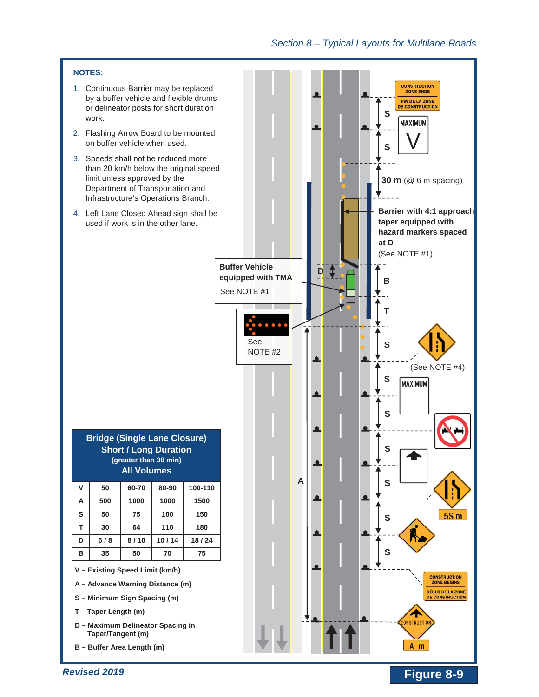



- 2. Flashing Arrow Board to be mounted on buffer vehicle when used.
- 3. Speeds shall not be reduced more than 20 km/h below the original speed limit unless approved by the Department of Transportation and Infrastructure's Operations Branch.
- 4. Left Lane Closed Ahead sign shall be used if work is in the other lane.

| <b>Bridge (Single Lane Closure)</b> |
|-------------------------------------|
| <b>Short / Long Duration</b>        |
| (greater than 30 min)               |
| <b>All Volumes</b>                  |

| ۷ | 50  | 60-70 | 80-90 | 100-110 |
|---|-----|-------|-------|---------|
| А | 500 | 1000  | 1000  | 1500    |
| S | 50  | 75    | 100   | 150     |
| т | 30  | 64    | 110   | 180     |
| D | 6/8 | 8/10  | 10/14 | 18/24   |
| в | 35  | 50    | 70    | 75      |

- **A – Advance Warning Distance (m)**
- **S – Minimum Sign Spacing (m)**
- **T – Taper Length (m)**
- **D – Maximum Delineator Spacing in Taper/Tangent (m)**
- **B – Buffer Area Length (m)**

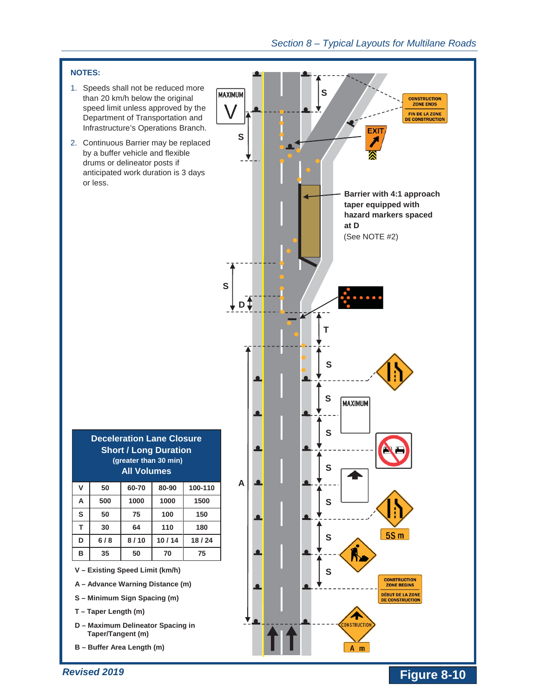## **NOTES:**

- 1. Speeds shall not be reduced more than 20 km/h below the original speed limit unless approved by the Department of Transportation and Infrastructure's Operations Branch.
- 2. Continuous Barrier may be replaced by a buffer vehicle and flexible drums or delineator posts if anticipated work duration is 3 days or less.

**S** 

|   |    |                                             | <b>Deceleration Lane Closure</b> |         |
|---|----|---------------------------------------------|----------------------------------|---------|
|   |    | (greater than 30 min)<br><b>All Volumes</b> | <b>Short / Long Duration</b>     |         |
| V | 50 | 60-70                                       | 80-90                            | 100-110 |
|   |    |                                             |                                  |         |

| А | 500 | 1000 | 1000  | 1500  |
|---|-----|------|-------|-------|
| S | 50  | 75   | 100   | 150   |
| т | 30  | 64   | 110   | 180   |
| D | 6/8 | 8/10 | 10/14 | 18/24 |
| в | 35  | 50   | 70    | 75    |

- **A – Advance Warning Distance (m)**
- **S – Minimum Sign Spacing (m)**
- **T – Taper Length (m)**
- **D – Maximum Delineator Spacing in Taper/Tangent (m)**
- **B – Buffer Area Length (m)**

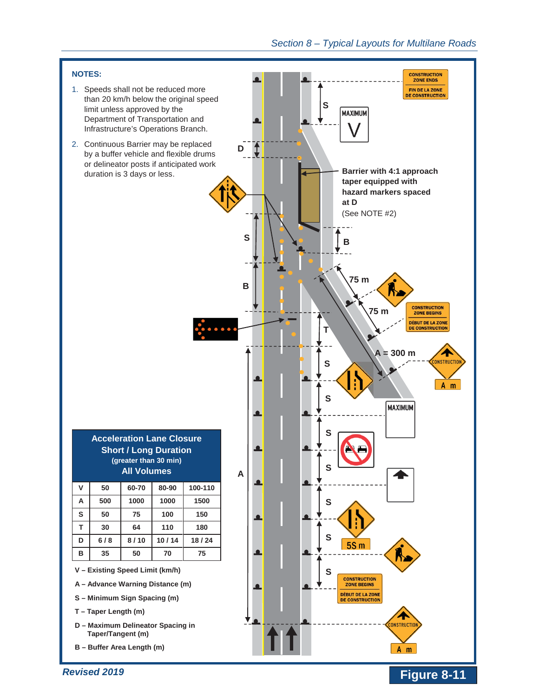**Figure 8-11** 

#### **NOTES:**

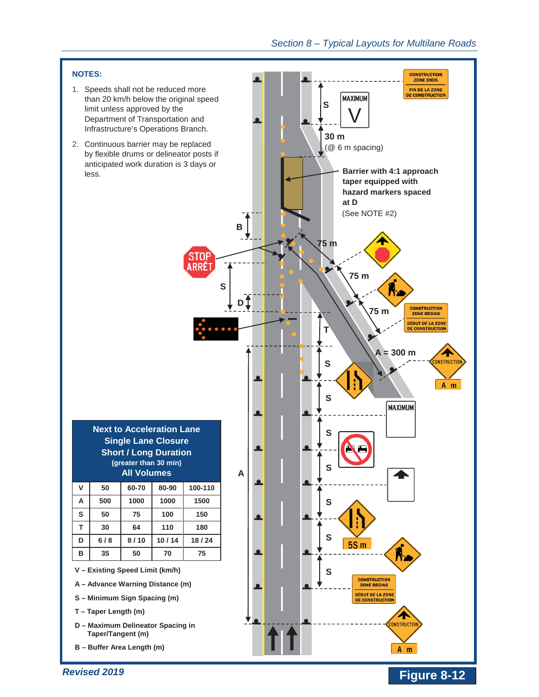

- 1. Speeds shall not be reduced more than 20 km/h below the original speed limit unless approved by the Department of Transportation and Infrastructure's Operations Branch.
- 2. Continuous barrier may be replaced by flexible drums or delineator posts if anticipated work duration is 3 days or less.

stor **RRÊ** 

|   |    | <b>Next to Acceleration Lane</b><br><b>Single Lane Closure</b>              |       |         |
|---|----|-----------------------------------------------------------------------------|-------|---------|
|   |    | <b>Short / Long Duration</b><br>(greater than 30 min)<br><b>All Volumes</b> |       |         |
| v | 50 | 60-70                                                                       | 80-90 | 100-110 |
|   |    |                                                                             |       | ENN.    |

| А | 500 | 1000 | 1000  | 1500  |
|---|-----|------|-------|-------|
| S | 50  | 75   | 100   | 150   |
| т | 30  | 64   | 110   | 180   |
| D | 6/8 | 8/10 | 10/14 | 18/24 |
| в | 35  | 50   | 70    | 75    |

- **A – Advance Warning Distance (m)**
- **S – Minimum Sign Spacing (m)**
- **T – Taper Length (m)**
- **D – Maximum Delineator Spacing in Taper/Tangent (m)**
- **B – Buffer Area Length (m)**

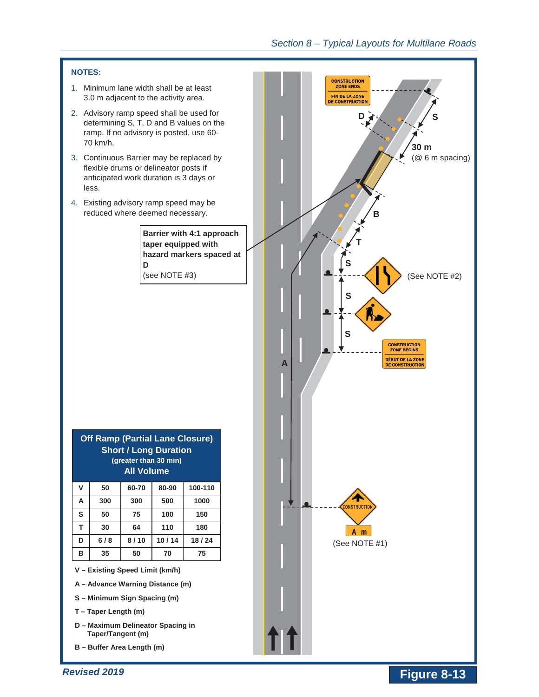#### **NOTES:**

- 1. Minimum lane width shall be at least 3.0 m adjacent to the activity area.
- 2. Advisory ramp speed shall be used for determining S, T, D and B values on the ramp. If no advisory is posted, use 60- 70 km/h.
- 3. Continuous Barrier may be replaced by flexible drums or delineator posts if anticipated work duration is 3 days or less.
- 4. Existing advisory ramp speed may be reduced where deemed necessary.

**Barrier with 4:1 approach taper equipped with hazard markers spaced at D**

| <b>Short / Long Duration</b><br>(greater than 30 min) |   |     | <b>Off Ramp (Partial Lane Closure)</b> |       |            |
|-------------------------------------------------------|---|-----|----------------------------------------|-------|------------|
|                                                       | V | 50  | 60-70                                  | 80-90 | 100-110    |
|                                                       | А | 300 | 300                                    | 500   | 1000       |
|                                                       | c | rη  | フド                                     | 100   | <b>450</b> |

| S | 50  | 75   | 100   | 150   |
|---|-----|------|-------|-------|
|   | 30  | 64   | 110   | 180   |
| D | 6/8 | 8/10 | 10/14 | 18/24 |
| в | 35  | 50   | 70    | 75    |

- **A – Advance Warning Distance (m)**
- **S – Minimum Sign Spacing (m)**
- **T – Taper Length (m)**
- **D – Maximum Delineator Spacing in Taper/Tangent (m)**
- **B – Buffer Area Length (m)**

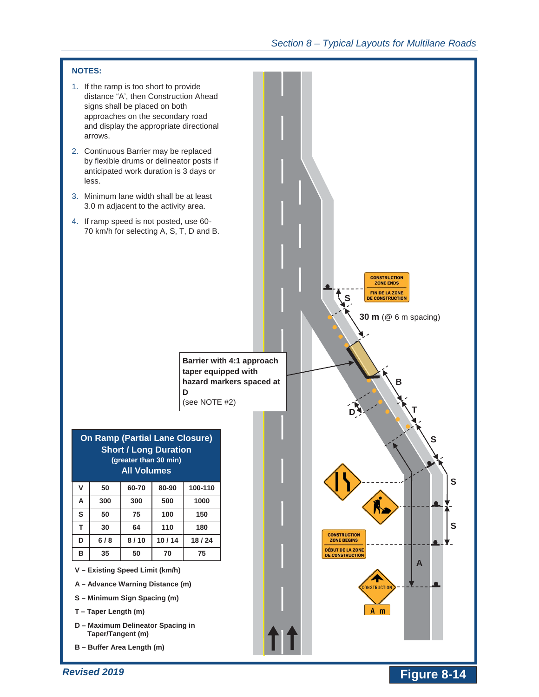



- 2. Continuous Barrier may be replaced by flexible drums or delineator posts if anticipated work duration is 3 days or less.
- 3. Minimum lane width shall be at least 3.0 m adjacent to the activity area.
- 4. If ramp speed is not posted, use 60- 70 km/h for selecting A, S, T, D and B.

**Barrier with 4:1 approach taper equipped with hazard markers spaced at D** (see NOTE #2)

| <b>On Ramp (Partial Lane Closure)</b> |
|---------------------------------------|
| <b>Short / Long Duration</b>          |
| (greater than 30 min)                 |
| <b>All Volumes</b>                    |

| ۷  | 50  | 60-70 | 80-90 | 100-110 |
|----|-----|-------|-------|---------|
| А  | 300 | 300   | 500   | 1000    |
| S  | 50  | 75    | 100   | 150     |
| T. | 30  | 64    | 110   | 180     |
| D  | 6/8 | 8/10  | 10/14 | 18/24   |
| в  | 35  | 50    | 70    | 75      |

- **A – Advance Warning Distance (m)**
- **S – Minimum Sign Spacing (m)**
- **T – Taper Length (m)**
- **D – Maximum Delineator Spacing in Taper/Tangent (m)**
- **B – Buffer Area Length (m)**

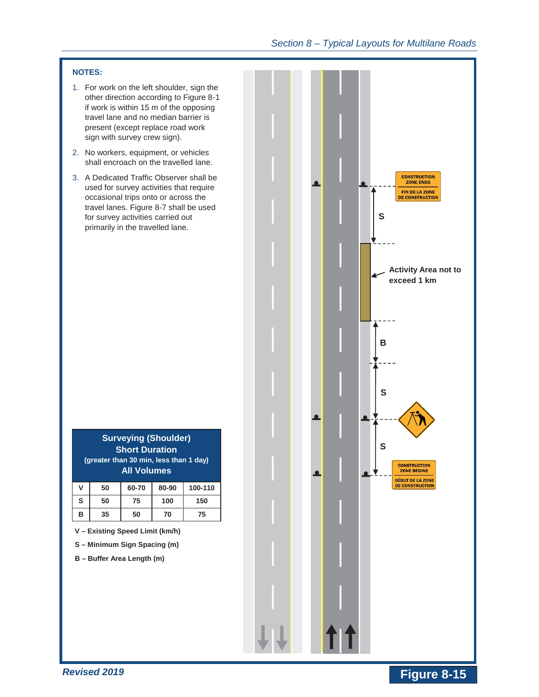## **NOTES:**

- 1. For work on the left shoulder, sign the other direction according to Figure 8-1 if work is within 15 m of the opposing travel lane and no median barrier is present (except replace road work sign with survey crew sign).
- 2. No workers, equipment, or vehicles shall encroach on the travelled lane.
- 3. A Dedicated Traffic Observer shall be used for survey activities that require occasional trips onto or across the travel lanes. Figure 8-7 shall be used for survey activities carried out primarily in the travelled lane.

|  |            |    | <b>CONSTRUCTION</b><br><b>ZONE ENDS</b><br><b>FIN DE LA ZONE</b><br><b>DE CONSTRUCTION</b><br>S |
|--|------------|----|-------------------------------------------------------------------------------------------------|
|  |            |    | <b>Activity Area not to</b><br>exceed 1 km                                                      |
|  |            |    | В                                                                                               |
|  |            |    | S<br>S                                                                                          |
|  | <u>. a</u> | ▁╵ | <b>CONSTRUCTION</b><br><b>ZONE BEGINS</b><br><b>DÉBUT DE LA ZONE</b><br><b>DE CONSTRUCTION</b>  |
|  |            |    |                                                                                                 |
|  | 11         |    |                                                                                                 |

|  |                                                              | -- -- |  |
|--|--------------------------------------------------------------|-------|--|
|  | (greater than 30 min, less than 1 day)<br><b>All Volumes</b> |       |  |
|  | <b>Short Duration</b>                                        |       |  |
|  | <b>Surveying (Shoulder)</b>                                  |       |  |

| ۷ | 50 | 60-70 | 80-90 | 100-110 |
|---|----|-------|-------|---------|
| S | 50 | 75    | 100   | 150     |
| в | 35 | 50    | 70    | 75      |

**V – Existing Speed Limit (km/h)** 

**S – Minimum Sign Spacing (m)** 

**B – Buffer Area Length (m)**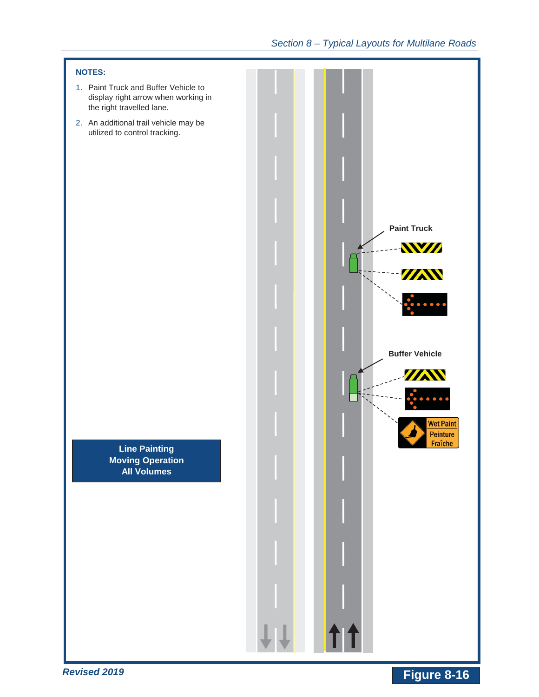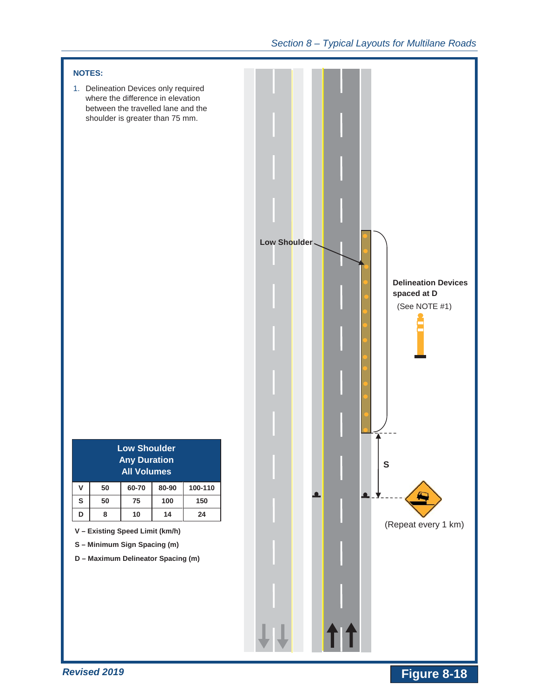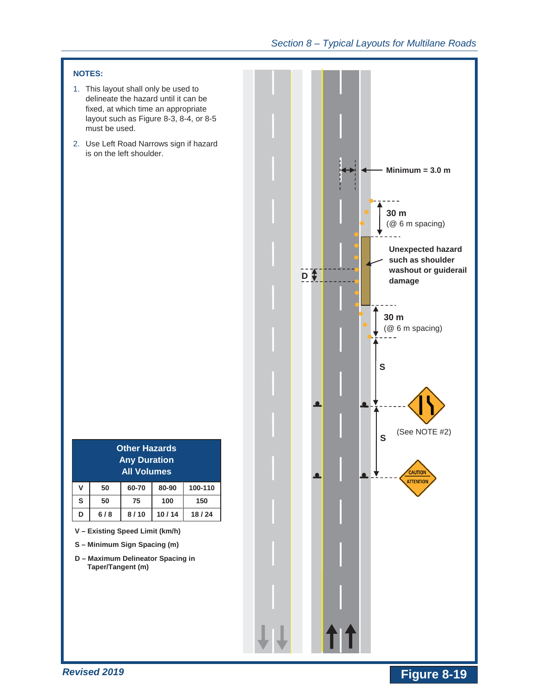## **NOTES:**

- 1. This layout shall only be used to delineate the hazard until it can be fixed, at which time an appropriate layout such as Figure 8-3, 8-4, or 8-5 must be used.
- 2. Use Left Road Narrows sign if hazard is on the left shoulder.

|                                    | <b>Other Hazards</b><br><b>Any Duration</b><br><b>All Volumes</b> |       |       |         |  |  |
|------------------------------------|-------------------------------------------------------------------|-------|-------|---------|--|--|
| v                                  | 50                                                                | 60-70 | 80-90 | 100-110 |  |  |
| S                                  | 50                                                                | 75    | 100   | 150     |  |  |
| 10/14<br>6/8<br>8/10<br>18/24<br>D |                                                                   |       |       |         |  |  |

- **V – Existing Speed Limit (km/h)**
- **S – Minimum Sign Spacing (m)**
- **D – Maximum Delineator Spacing in Taper/Tangent (m)**

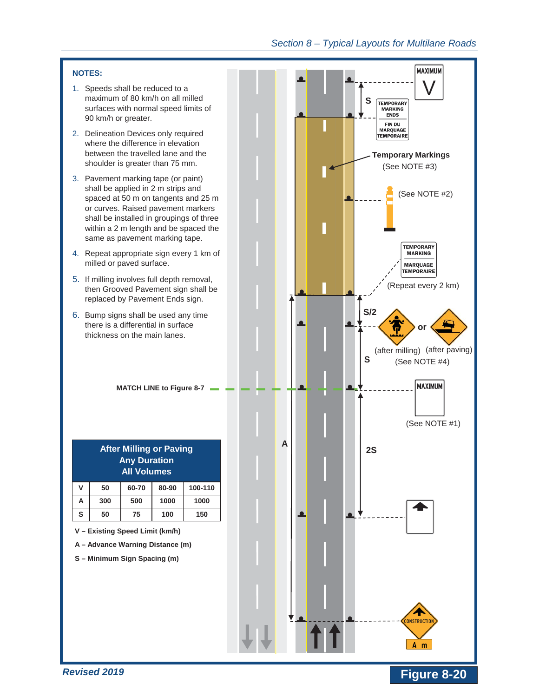#### **NOTES:**

- 1. Speeds shall be reduced to a maximum of 80 km/h on all milled surfaces with normal speed limits of 90 km/h or greater.
- 2. Delineation Devices only required where the difference in elevation between the travelled lane and the shoulder is greater than 75 mm.
- 3. Pavement marking tape (or paint) shall be applied in 2 m strips and spaced at 50 m on tangents and 25 m or curves. Raised pavement markers shall be installed in groupings of three within a 2 m length and be spaced the same as pavement marking tape.
- 4. Repeat appropriate sign every 1 km of milled or paved surface.
- 5. If milling involves full depth removal, then Grooved Pavement sign shall be replaced by Pavement Ends sign.
- 6. Bump signs shall be used any time there is a differential in surface thickness on the main lanes.

**MATCH LINE to Figure 8-7** 

| <b>After Milling or Paving</b> |  |
|--------------------------------|--|
| <b>Any Duration</b>            |  |
| <b>All Volumes</b>             |  |

| ۷ | 50  | 60-70 | 80-90 | 100-110 |
|---|-----|-------|-------|---------|
| А | 300 | 500   | 1000  | 1000    |
| s | 50  | 75    | 100   | 150     |

**V – Existing Speed Limit (km/h)** 

**A – Advance Warning Distance (m)** 

**S – Minimum Sign Spacing (m)** 



**Figure 8-20**